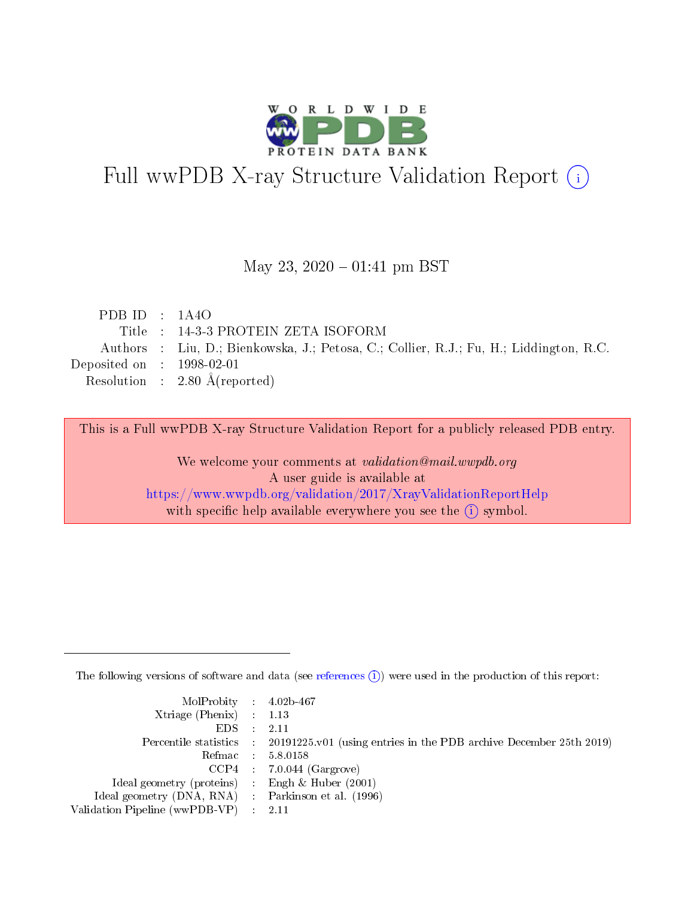

# Full wwPDB X-ray Structure Validation Report (i)

#### May 23,  $2020 - 01:41$  pm BST

| PDB ID : $1A4O$             |                                                                                        |
|-----------------------------|----------------------------------------------------------------------------------------|
|                             | Title: 14-3-3 PROTEIN ZETA ISOFORM                                                     |
|                             | Authors : Liu, D.; Bienkowska, J.; Petosa, C.; Collier, R.J.; Fu, H.; Liddington, R.C. |
| Deposited on : $1998-02-01$ |                                                                                        |
|                             | Resolution : $2.80 \text{ Å}$ (reported)                                               |
|                             |                                                                                        |

This is a Full wwPDB X-ray Structure Validation Report for a publicly released PDB entry.

We welcome your comments at validation@mail.wwpdb.org A user guide is available at <https://www.wwpdb.org/validation/2017/XrayValidationReportHelp> with specific help available everywhere you see the  $(i)$  symbol.

The following versions of software and data (see [references](https://www.wwpdb.org/validation/2017/XrayValidationReportHelp#references)  $(i)$ ) were used in the production of this report:

| MolProbity : $4.02b-467$                            |                                                                                            |
|-----------------------------------------------------|--------------------------------------------------------------------------------------------|
| Xtriage (Phenix) $: 1.13$                           |                                                                                            |
| EDS -                                               | 2.11                                                                                       |
|                                                     | Percentile statistics : 20191225.v01 (using entries in the PDB archive December 25th 2019) |
|                                                     | Refmac 58.0158                                                                             |
|                                                     | $CCP4$ 7.0.044 (Gargrove)                                                                  |
| Ideal geometry (proteins) : Engh $\&$ Huber (2001)  |                                                                                            |
| Ideal geometry (DNA, RNA) : Parkinson et al. (1996) |                                                                                            |
| Validation Pipeline (wwPDB-VP)                      | -2.11                                                                                      |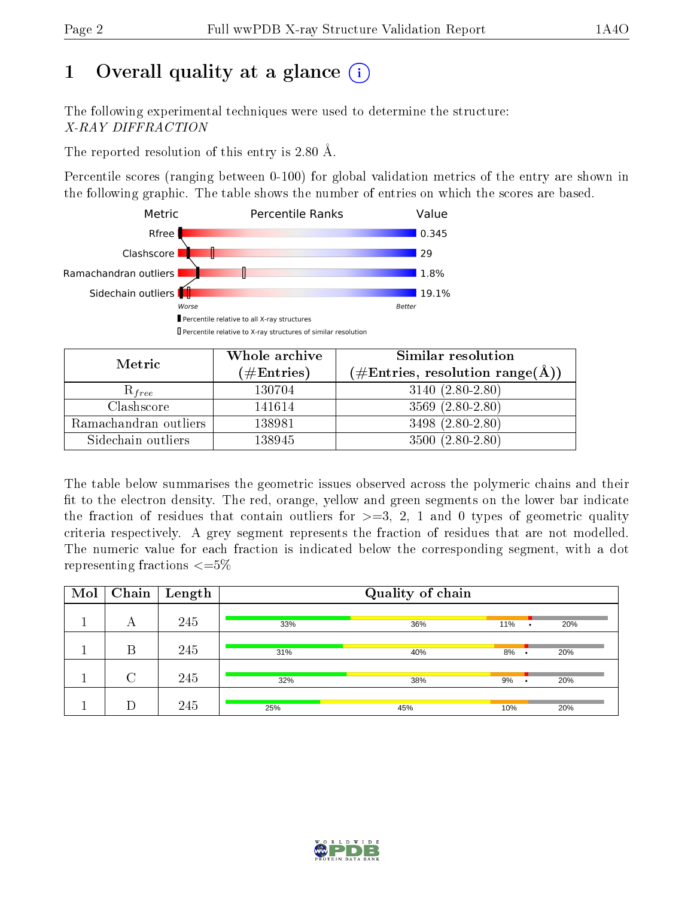# 1 [O](https://www.wwpdb.org/validation/2017/XrayValidationReportHelp#overall_quality)verall quality at a glance  $(i)$

The following experimental techniques were used to determine the structure: X-RAY DIFFRACTION

The reported resolution of this entry is 2.80 Å.

Percentile scores (ranging between 0-100) for global validation metrics of the entry are shown in the following graphic. The table shows the number of entries on which the scores are based.



| Metric                | Whole archive<br>$(\#\text{Entries})$ | Similar resolution<br>$(\#\text{Entries}, \text{resolution range}(\text{\AA}))$ |
|-----------------------|---------------------------------------|---------------------------------------------------------------------------------|
| $\mathcal{R}_{free}$  | 130704                                | $3140(2.80-2.80)$                                                               |
| Clashscore            | 141614                                | $3569(2.80-2.80)$                                                               |
| Ramachandran outliers | 138981                                | 3498 $(2.80-2.80)$                                                              |
| Sidechain outliers    | 138945                                | $3500(2.80-2.80)$                                                               |

The table below summarises the geometric issues observed across the polymeric chains and their fit to the electron density. The red, orange, yellow and green segments on the lower bar indicate the fraction of residues that contain outliers for  $\geq=3$ , 2, 1 and 0 types of geometric quality criteria respectively. A grey segment represents the fraction of residues that are not modelled. The numeric value for each fraction is indicated below the corresponding segment, with a dot representing fractions  $\epsilon = 5\%$ 

| Mol | Chain  | $\mathbf{Length}$ |     | Quality of chain |     |           |     |
|-----|--------|-------------------|-----|------------------|-----|-----------|-----|
|     | А      | 245               | 33% | 36%              | 11% | ٠         | 20% |
|     | B      | 245               | 31% | 40%              | 8%  | ٠         | 20% |
|     | $\cap$ | 245               | 32% | 38%              | 9%  | $\bullet$ | 20% |
|     | D      | 245               | 25% | 45%              | 10% |           | 20% |

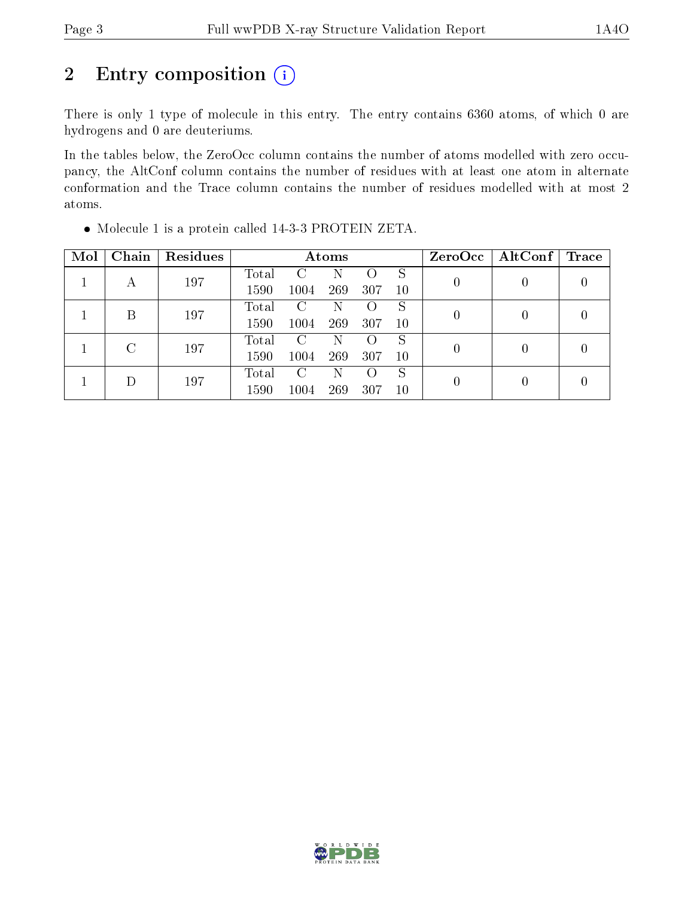## 2 Entry composition  $(i)$

There is only 1 type of molecule in this entry. The entry contains 6360 atoms, of which 0 are hydrogens and 0 are deuteriums.

In the tables below, the ZeroOcc column contains the number of atoms modelled with zero occupancy, the AltConf column contains the number of residues with at least one atom in alternate conformation and the Trace column contains the number of residues modelled with at most 2 atoms.

| Mol | Chain  | Residues | Atoms |      |     |                    |    | $ZeroOcc \mid AltConf \mid$ | $\operatorname{Trace}$ |  |
|-----|--------|----------|-------|------|-----|--------------------|----|-----------------------------|------------------------|--|
|     |        | 197      | Total | C    | N   |                    | S  |                             |                        |  |
|     | А      |          | 1590  | 1004 | 269 | 307                | 10 |                             |                        |  |
|     | В      | 197      | Total | C    | N   |                    | S  | $\left( \right)$            |                        |  |
|     |        |          | 1590  | 1004 | 269 | 307                | 10 |                             |                        |  |
|     | $\cap$ | 197      | Total | C    | N   | $\left( \right)$   | S  | $\left( \right)$            | $\Omega$               |  |
|     |        |          | 1590  | 1004 | 269 | 307                | 10 |                             |                        |  |
|     |        |          | Total | C    | N   | $\left( \ \right)$ | S  | $\left( \right)$            |                        |  |
|     | 197    | 1590     | 1004  | 269  | 307 | 10                 |    |                             |                        |  |

Molecule 1 is a protein called 14-3-3 PROTEIN ZETA.

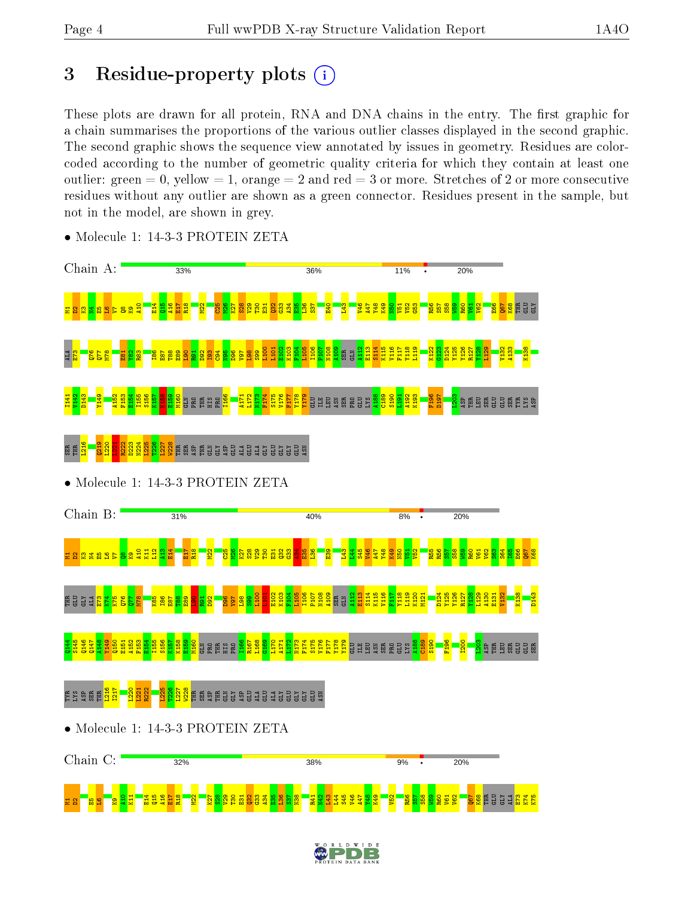## 3 Residue-property plots  $(i)$

These plots are drawn for all protein, RNA and DNA chains in the entry. The first graphic for a chain summarises the proportions of the various outlier classes displayed in the second graphic. The second graphic shows the sequence view annotated by issues in geometry. Residues are colorcoded according to the number of geometric quality criteria for which they contain at least one outlier: green  $= 0$ , yellow  $= 1$ , orange  $= 2$  and red  $= 3$  or more. Stretches of 2 or more consecutive residues without any outlier are shown as a green connector. Residues present in the sample, but not in the model, are shown in grey.



• Molecule 1: 14-3-3 PROTEIN ZETA

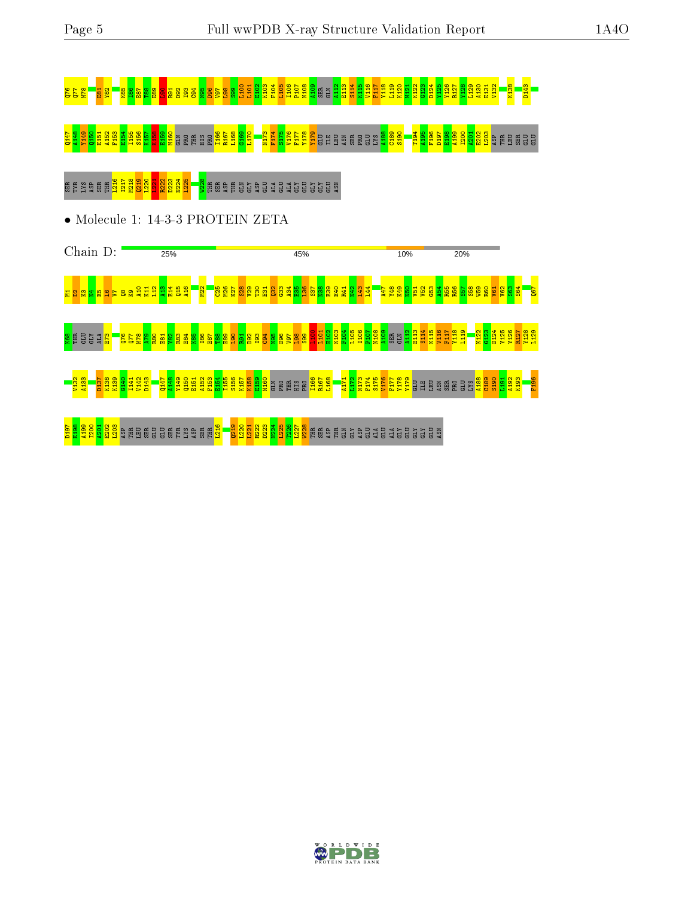

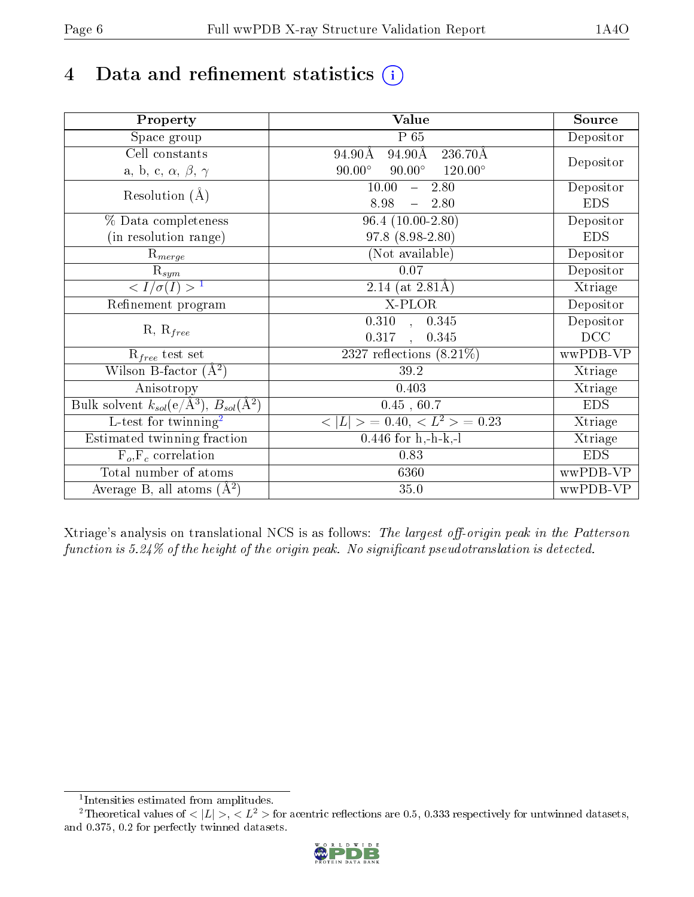# 4 Data and refinement statistics  $(i)$

| Property                                                             | <b>Value</b>                                     | Source     |
|----------------------------------------------------------------------|--------------------------------------------------|------------|
| Space group                                                          | $P_65$                                           | Depositor  |
| Cell constants                                                       | 94.90Å<br>$236.70\text{\AA}$<br>94.90Å           |            |
| a, b, c, $\alpha$ , $\beta$ , $\gamma$                               | $120.00^\circ$<br>$90.00^\circ$<br>$90.00^\circ$ | Depositor  |
| Resolution $(A)$                                                     | 10.00<br>2.80<br>$\frac{1}{2}$                   | Depositor  |
|                                                                      | 8.98<br>2.80<br>$\overline{\phantom{m}}$         | <b>EDS</b> |
| % Data completeness                                                  | $96.4(10.00-2.80)$                               | Depositor  |
| (in resolution range)                                                | 97.8 (8.98-2.80)                                 | <b>EDS</b> |
| $R_{merge}$                                                          | (Not available)                                  | Depositor  |
| $\mathrm{R}_{sym}$                                                   | 0.07                                             | Depositor  |
| $\langle I/\sigma(I) \rangle^{-1}$                                   | 2.14 (at $2.81\text{\AA})$                       | Xtriage    |
| Refinement program                                                   | X-PLOR                                           | Depositor  |
|                                                                      | $\overline{0.310}$ ,<br>0.345                    | Depositor  |
| $R, R_{free}$                                                        | 0.317<br>0.345<br>$\ddot{\phantom{a}}$           | DCC        |
| $R_{free}$ test set                                                  | 2327 reflections $(8.21\%)$                      | wwPDB-VP   |
| Wilson B-factor $(A^2)$                                              | 39.2                                             | Xtriage    |
| Anisotropy                                                           | 0.403                                            | Xtriage    |
| Bulk solvent $k_{sol}(e/\mathring{A}^3)$ , $B_{sol}(\mathring{A}^2)$ | 0.45, 60.7                                       | <b>EDS</b> |
| L-test for twinning <sup>2</sup>                                     | $>$ = 0.40, < $L^2$ > = 0.23<br>< L              | Xtriage    |
| Estimated twinning fraction                                          | $0.446$ for h,-h-k,-l                            | Xtriage    |
| $F_o, F_c$ correlation                                               | 0.83                                             | <b>EDS</b> |
| Total number of atoms                                                | 6360                                             | wwPDB-VP   |
| Average B, all atoms $(A^2)$                                         | 35.0                                             | wwPDB-VP   |

Xtriage's analysis on translational NCS is as follows: The largest off-origin peak in the Patterson function is  $5.24\%$  of the height of the origin peak. No significant pseudotranslation is detected.

<sup>&</sup>lt;sup>2</sup>Theoretical values of  $\langle |L| \rangle$ ,  $\langle L^2 \rangle$  for acentric reflections are 0.5, 0.333 respectively for untwinned datasets, and 0.375, 0.2 for perfectly twinned datasets.



<span id="page-5-1"></span><span id="page-5-0"></span><sup>1</sup> Intensities estimated from amplitudes.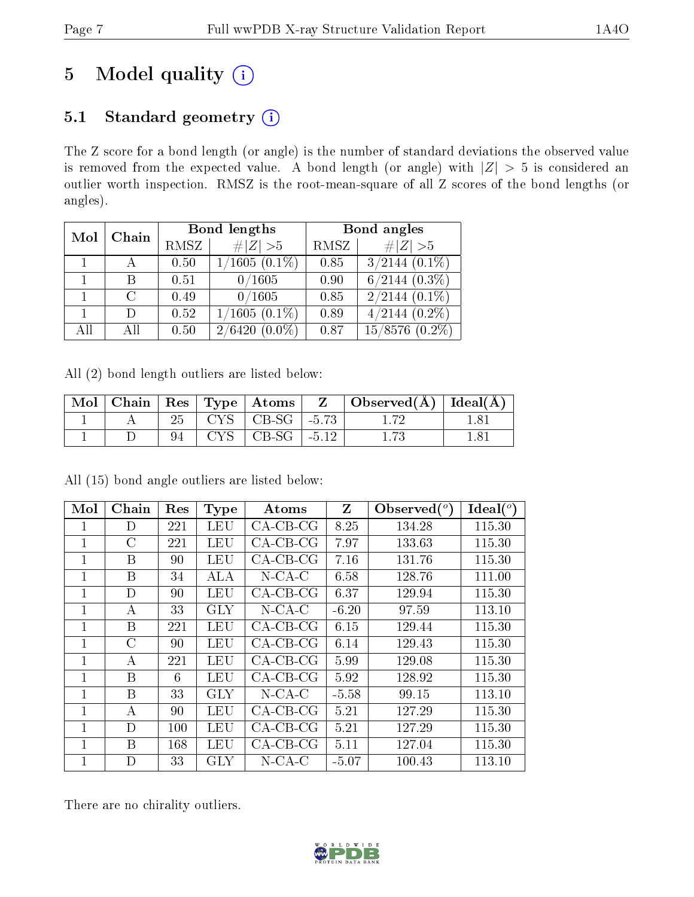# 5 Model quality  $(i)$

## 5.1 Standard geometry  $(i)$

The Z score for a bond length (or angle) is the number of standard deviations the observed value is removed from the expected value. A bond length (or angle) with  $|Z| > 5$  is considered an outlier worth inspection. RMSZ is the root-mean-square of all Z scores of the bond lengths (or angles).

| Mol | Chain         |      | Bond lengths               | Bond angles |                     |  |
|-----|---------------|------|----------------------------|-------------|---------------------|--|
|     |               | RMSZ | $\# Z >5$                  | RMSZ        | # $ Z >5$           |  |
|     |               | 0.50 | $1/1605(0.\overline{1\%})$ | 0.85        | $3/2144$ $(0.1\%)$  |  |
|     | B             | 0.51 | 0/1605                     | 0.90        | $6/2144$ $(0.3\%)$  |  |
|     | $\mathcal{C}$ | 0.49 | 0/1605                     | 0.85        | $2/2144$ $(0.1\%)$  |  |
|     | D             | 0.52 | $1/1605(0.1\%)$            | 0.89        | $4/2144$ $(0.2\%)$  |  |
| All | АH            | 0.50 | 2/6420<br>$(0.0\%)$        | 0.87        | $15/8576$ $(0.2\%)$ |  |

All (2) bond length outliers are listed below:

| Mol |  |                          | Chain   $\text{Res}$   $\text{Type}$   Atoms | $\mathbf{Z}$ . | $\vert$ Observed( $\rm \AA$ ) $\vert$ Ideal( $\rm \AA$ ) |  |
|-----|--|--------------------------|----------------------------------------------|----------------|----------------------------------------------------------|--|
|     |  |                          | $CYS$   CB-SG   -5.73                        |                |                                                          |  |
|     |  | $\rightarrow$ $\sqrt{C}$ | CB-SG                                        | $-5.12$        |                                                          |  |

 $\text{Mol}$  Chain Res Type Atoms Z Observed( $^o$ ) )  $\overline{}$  Ideal( $^o$ ) 1 D 221 LEU CA-CB-CG 8.25 134.28 115.30 1 | C | 221 | LEU | CA-CB-CG | 7.97 | 133.63 | 115.30 1 | B | 90 | LEU | CA-CB-CG | 7.16 | 131.76 | 115.30 1 | B | 34 | ALA | N-CA-C | 6.58 | 128.76 | 111.00 1 | D | 90 | LEU | CA-CB-CG | 6.37 | 129.94 | 115.30 1 | A | 33 | GLY | N-CA-C | -6.20 | 97.59 | 113.10 1 | B | 221 | LEU | CA-CB-CG | 6.15 | 129.44 | 115.30 1 | C | 90 | LEU | CA-CB-CG | 6.14 | 129.43 | 115.30 1 | A | 221 | LEU | CA-CB-CG | 5.99 | 129.08 | 115.30 1 | B | 6 | LEU | CA-CB-CG | 5.92 | 128.92 | 115.30 1 | B | 33 | GLY | N-CA-C | -5.58 | 99.15 | 113.10 1 | A | 90 | LEU | CA-CB-CG | 5.21 | 127.29 | 115.30 1 | D | 100 | LEU | CA-CB-CG | 5.21 | 127.29 | 115.30 1 | B | 168 | LEU | CA-CB-CG | 5.11 | 127.04 | 115.30 1 D 33 GLY N-CA-C -5.07 100.43 113.10

All (15) bond angle outliers are listed below:

There are no chirality outliers.

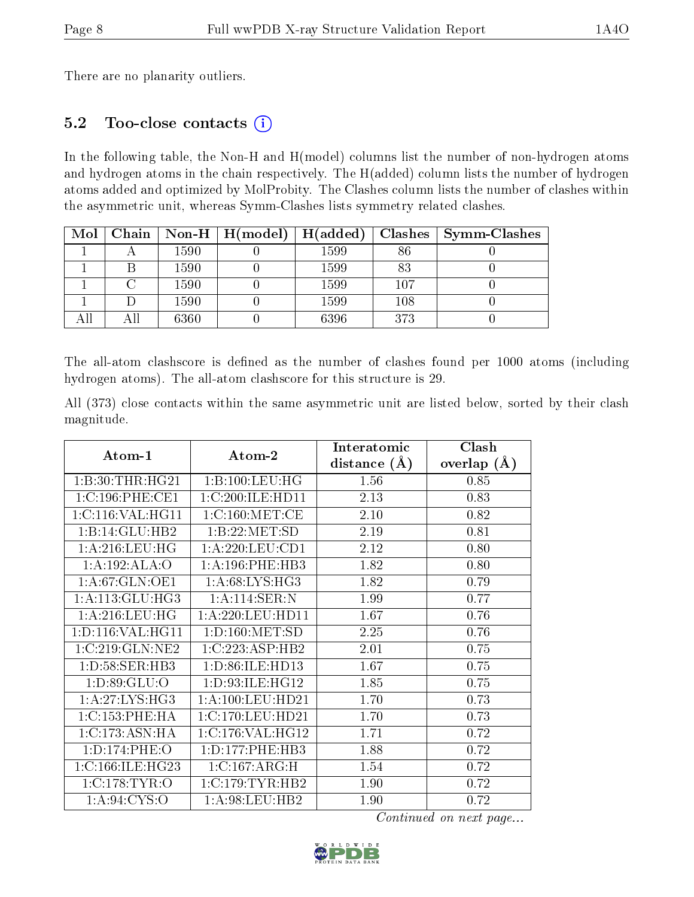There are no planarity outliers.

### 5.2 Too-close contacts (i)

In the following table, the Non-H and H(model) columns list the number of non-hydrogen atoms and hydrogen atoms in the chain respectively. The H(added) column lists the number of hydrogen atoms added and optimized by MolProbity. The Clashes column lists the number of clashes within the asymmetric unit, whereas Symm-Clashes lists symmetry related clashes.

| Mol |      | $\mid$ Chain $\mid$ Non-H $\mid$ H(model) | H(added) | Clashes | $\sim$ Symm-Clashes |
|-----|------|-------------------------------------------|----------|---------|---------------------|
|     | 1590 |                                           | 1599     | 86      |                     |
|     | 1590 |                                           | 1599     | 83      |                     |
|     | 1590 |                                           | 1599     | $107\,$ |                     |
|     | 1590 |                                           | 1599     | 108     |                     |
|     | 6360 |                                           | 6396     | 373     |                     |

The all-atom clashscore is defined as the number of clashes found per 1000 atoms (including hydrogen atoms). The all-atom clashscore for this structure is 29.

All (373) close contacts within the same asymmetric unit are listed below, sorted by their clash magnitude.

| Atom-1               | Atom-2               | Interatomic    | Clash         |
|----------------------|----------------------|----------------|---------------|
|                      |                      | distance $(A)$ | overlap $(A)$ |
| 1:B:30:THR:HG21      | 1:B:100:LEU:HG       | 1.56           | 0.85          |
| 1:C:196:PHE:CE1      | 1:C:200:ILE:HD11     | 2.13           | 0.83          |
| 1:C:116:VAL:HG11     | 1:C:160:MET:CE       | 2.10           | 0.82          |
| 1:B:14:GLU:HB2       | 1:B:22:MET:SD        | 2.19           | 0.81          |
| 1: A:216: LEU:HG     | 1: A: 220: LEU: CD1  | 2.12           | 0.80          |
| 1:A:192:ALA:O        | 1: A:196:PHE:HB3     | 1.82           | 0.80          |
| 1:A:67:GLN:OE1       | 1:A:68:LYS:HG3       | 1.82           | 0.79          |
| 1: A:113: GLU:HG3    | 1:A:114:SER:N        | 1.99           | 0.77          |
| 1: A:216:LEU:HG      | 1: A:220: LEU: HD11  | 1.67           | 0.76          |
| 1: D: 116: VAL:HGI1  | 1: D: 160: MET: SD   | 2.25           | 0.76          |
| 1:C:219:GLN:NE2      | 1:C:223:ASP:HB2      | 2.01           | 0.75          |
| 1:D:58:SER:HB3       | 1: D:86: ILE: HD13   | 1.67           | 0.75          |
| 1: D:89: GLU:O       | 1: D:93: ILE: HG12   | 1.85           | 0.75          |
| 1:A:27:LYS:HG3       | 1: A: 100: LEU: HD21 | 1.70           | 0.73          |
| 1:C:153:PHE:HA       | 1:C:170:LEU:HD21     | 1.70           | 0.73          |
| 1:C:173:ASN:HA       | 1:C:176:VAL:HG12     | 1.71           | 0.72          |
| 1:D:174:PHE:O        | 1: D: 177: PHE: HB3  | 1.88           | 0.72          |
| 1: C: 166: ILE: HG23 | 1:C:167:ARG:H        | 1.54           | 0.72          |
| 1:C:178:TYR:O        | 1:C:179:TYR:HB2      | 1.90           | 0.72          |
| 1: A:94: CYS:O       | 1: A:98:LEU:HB2      | 1.90           | 0.72          |

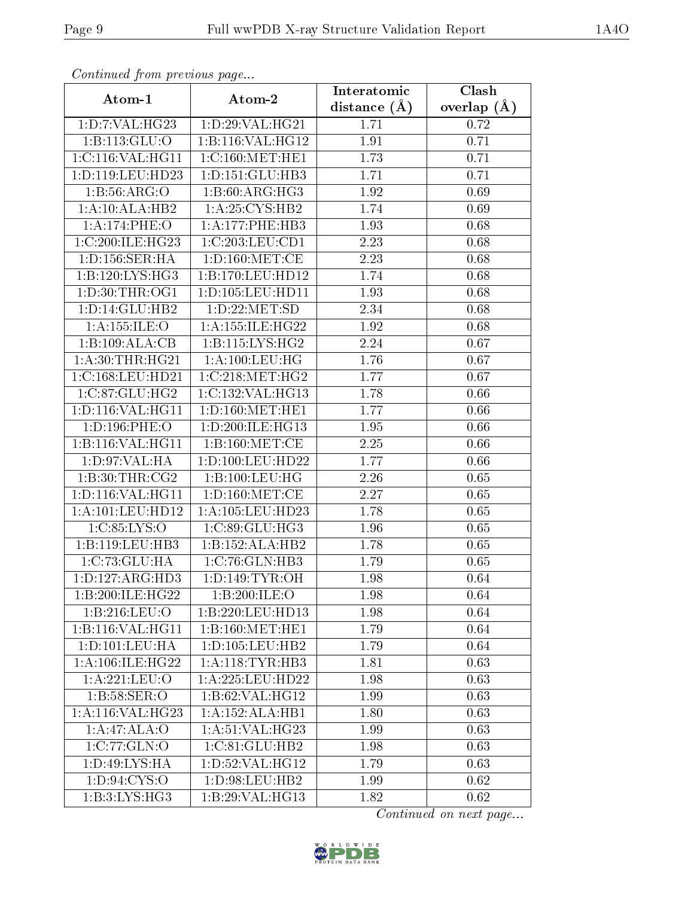| Comunaca jiom previous page  |                                                | Interatomic    | Clash         |
|------------------------------|------------------------------------------------|----------------|---------------|
| Atom-1                       | Atom-2                                         | distance $(A)$ | overlap $(A)$ |
| 1:D:7:VAL:HG23               | 1:D:29:VAL:HG21                                | 1.71           | 0.72          |
| 1:B:113:GLU:O                | 1:B:116:VAL:HG12                               | 1.91           | 0.71          |
| 1:C:116:VAL:HG11             | 1:C:160:MET:HE1                                | 1.73           | 0.71          |
| 1:D:119:LEU:HD23             | 1: D: 151: GLU: HB3                            | 1.71           | 0.71          |
| 1: B: 56: ARG: O             | 1:B:60:ARG:HG3                                 | 1.92           | 0.69          |
| 1:A:10:ALA:HB2               | 1: A:25: CYS:HB2                               | 1.74           | 0.69          |
| 1:A:174:PHE:O                | 1:A:177:PHE:HB3                                | 1.93           | 0.68          |
| 1:C:200:ILE:HG23             | 1:C:203:LEU:CD1                                | 2.23           | 0.68          |
| 1: D: 156: SER: HA           | 1: D: 160:MET:CE                               | 2.23           | 0.68          |
| 1:B:120:LYS:HG3              | 1:B:170:LEU:HD12                               | 1.74           | 0.68          |
| 1: D:30: THR:OG1             | 1:D:105:LEU:HD11                               | 1.93           | 0.68          |
| 1:D:14:GLU:HB2               | 1:D:22:MET:SD                                  | 2.34           | 0.68          |
| 1:A:155:ILE:O                | 1: A: 155: ILE: HG22                           | 1.92           | 0.68          |
| 1:B:109:ALA:CB               | 1:B:115:LYS:HG2                                | 2.24           | 0.67          |
| 1: A:30:THR:HG21             | 1:A:100:LEU:HG                                 | 1.76           | 0.67          |
| 1:C:168:LEU:HD21             | 1:C:218:MET:HG2                                | 1.77           | 0.67          |
| 1:C:87:GLU:HG2               | 1:C:132:VAL:HG13                               | 1.78           | 0.66          |
| 1:D:116:VAL:HG11             | 1: D: 160: MET: HE1                            | 1.77           | 0.66          |
| 1:D:196:PHE:O                | 1:D:200:ILE:HG13                               | 1.95           | 0.66          |
| 1:B:116:VAL:HG11             | 1: B: 160: MET:CE                              | 2.25           | 0.66          |
| 1: D:97: VAL: HA             | 1:D:100:LEU:HD22                               | 1.77           | 0.66          |
| 1:B:30:THR:CG2               | 1:B:100:LEU:HG                                 | 2.26           | 0.65          |
| 1: D: 116: VAL:HGI1          | 1: D: 160: MET: CE                             | 2.27           | 0.65          |
| 1: A: 101: LEU: HD12         | 1: A: 105: LEU: HD23                           | 1.78           | 0.65          |
| 1:C:85:LYS:O                 | 1:C:89:GLU:HG3                                 | 1.96           | 0.65          |
| 1:B:119:LEU:HB3              | 1:B:152:ALA:HB2                                | 1.78           | 0.65          |
| 1:C:73:GLU:HA                | 1:C:76:GLN:HB3                                 | 1.79           | 0.65          |
| 1: D: 127: ARG: HD3          | $1: D: 149: TYR: \overline{OH}$                | 1.98           | 0.64          |
| 1:B:200:ILE:HG22             | 1:B:200:ILE:O                                  | 1.98           | 0.64          |
| 1:B:216:LEU:O                | 1:B:220:LEU:HD13                               | 1.98           | 0.64          |
| 1:B:116:VAL:H <sub>G11</sub> | $1:B:160:\overline{\mathrm{MET}:\mathrm{HE1}}$ | 1.79           | 0.64          |
| 1: D: 101: LEU: HA           | 1: D: 105: LEU: HB2                            | 1.79           | 0.64          |
| 1: A:106: ILE: HG22          | 1: A:118: TYR:HB3                              | 1.81           | 0.63          |
| 1: A:221:LEU:O               | 1: A:225:LEU:HD22                              | 1.98           | 0.63          |
| 1: B:58: SER:O               | 1:B:62:VAL:HG12                                | 1.99           | 0.63          |
| 1:A:116:VAL:HG23             | 1:A:152:ALA:HB1                                | 1.80           | 0.63          |
| 1:A:47:ALA:O                 | 1:A:51:VAL:HG23                                | 1.99           | 0.63          |
| $1:C:77:\overline{GLN:O}$    | 1:C:81:GLU:HB2                                 | 1.98           | 0.63          |
| 1: D: 49: LYS: HA            | 1: D:52: VAL:HG12                              | 1.79           | 0.63          |
| 1: D:94: CYS:O               | 1: D:98: LEU: HB2                              | 1.99           | 0.62          |
| 1: B:3: LYS: HG3             | 1:B:29:VAL:HG13                                | 1.82           | 0.62          |

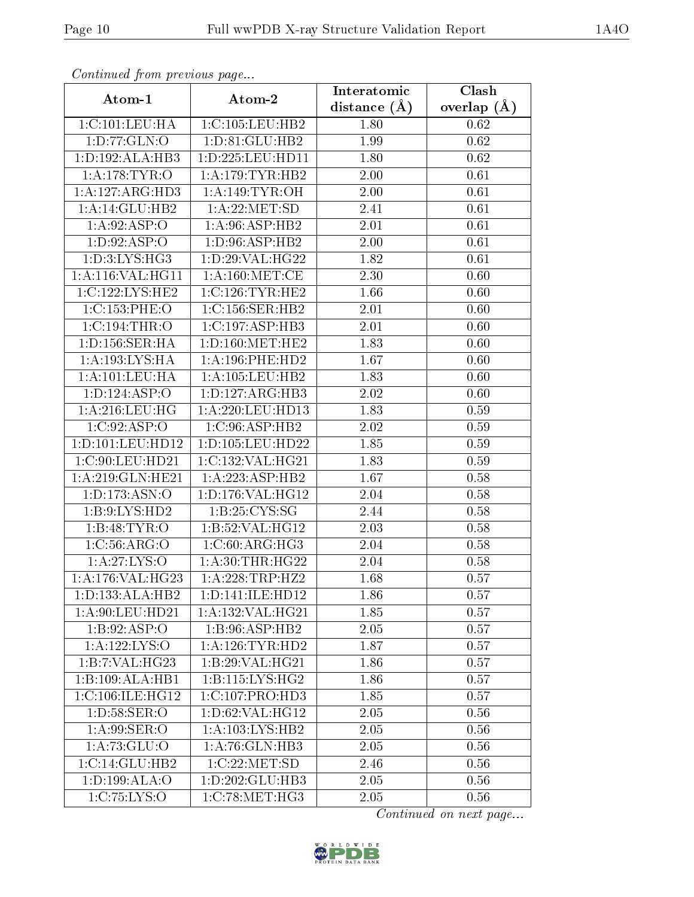| Continuea from previous page |                                               | Interatomic    | Clash         |
|------------------------------|-----------------------------------------------|----------------|---------------|
| Atom-1                       | Atom-2                                        | distance $(A)$ | overlap $(A)$ |
| 1:C:101:LEU:HA               | 1:C:105:LEU:HB2                               | 1.80           | 0.62          |
| 1:D:77:GLN:O                 | 1:D:81:GLU:HB2                                | 1.99           | 0.62          |
| 1: D: 192: ALA: HB3          | 1:D:225:LEU:HD11                              | 1.80           | 0.62          |
| 1:A:178:TYR:O                | 1: A:179: TYR: HB2                            | 2.00           | 0.61          |
| 1:A:127:ARG:HD3              | 1: A:149: TYR:OH                              | 2.00           | 0.61          |
| 1:A:14:GLU:HB2               | 1: A:22:MET:SD                                | 2.41           | 0.61          |
| 1: A:92: ASP:O               | 1: A:96: ASP:HB2                              | 2.01           | 0.61          |
| 1: D:92: ASP:O               | 1: D:96: ASP:HB2                              | 2.00           | 0.61          |
| 1: D:3: LYS: HG3             | 1: D:29: VAL:HG22                             | 1.82           | 0.61          |
| 1:A:116:VAL:HG11             | $1:$ A:160:MET:CE                             | 2.30           | 0.60          |
| 1:C:122:LYS:HE2              | 1:C:126:TYR:HE2                               | 1.66           | 0.60          |
| 1:C:153:PHE:O                | 1:C:156:SER:HB2                               | 2.01           | 0.60          |
| $1:C:194$ : THR: O           | 1:C:197:ASP:HB3                               | 2.01           | 0.60          |
| 1: D: 156: SER: HA           | 1: D: 160: MET: HE2                           | 1.83           | 0.60          |
| 1:A:193:LYS:HA               | 1: A:196: PHE:HD2                             | 1.67           | 0.60          |
| 1: A: 101: LEU: HA           | 1: A: 105: LEU: HB2                           | 1.83           | 0.60          |
| 1: D: 124: ASP: O            | 1: D: 127: ARG: HB3                           | 2.02           | 0.60          |
| 1: A:216:LEU:HG              | 1: A:220: LEU: HD13                           | 1.83           | 0.59          |
| 1:C:92:ASP:O                 | 1:C:96:ASP:HB2                                | 2.02           | 0.59          |
| 1: D: 101: LEU: HD12         | 1:D:105:LEU:HD22                              | 1.85           | 0.59          |
| 1:C:90:LEU:HD21              | 1:C:132:VAL:HG21                              | 1.83           | 0.59          |
| 1: A:219: GLN: HE21          | 1: A: 223: ASP: HB2                           | 1.67           | 0.58          |
| 1: D: 173: ASN: O            | 1: D: 176: VAL:HG12                           | 2.04           | 0.58          |
| 1:B:9:LYS:HD2                | 1: B:25: CYS:SG                               | 2.44           | 0.58          |
| 1:B:48:TYR:O                 | 1:B:52:VAL:HG12                               | 2.03           | 0.58          |
| 1:C:56:ARG:O                 | 1:C:60:ARG:HG3                                | 2.04           | 0.58          |
| 1:A:27:LYS:O                 | 1: A:30:THR:HG22                              | 2.04           | 0.58          |
| 1:A:176:VAL:HG23             | 1:A:228:TRP:HZ2                               | 1.68           | 0.57          |
| 1: D: 133: ALA: HB2          | 1: D: 141: ILE: HD12                          | 1.86           | 0.57          |
| 1: A:90: LEU:HD21            | 1: A: 132: VAL: HG21                          | 1.85           | 0.57          |
| 1: B: 92: ASP:O              | 1:B:96:ASP:HB2                                | 2.05           | 0.57          |
| 1: A: 122: LYS: O            | 1: A:126:TYR:HD2                              | 1.87           | 0.57          |
| 1:B:7:VAL:HG23               | 1:B:29:VAL:HG21                               | 1.86           | 0.57          |
| 1:B:109:ALA:HB1              | 1:B:115:LYS:HG2                               | 1.86           | 0.57          |
| 1:C:106:ILE:HG12             | 1:C:107:PRO:HD3                               | 1.85           | 0.57          |
| 1: D:58: SER:O               | 1: D:62: VAL:HGI2                             | 2.05           | 0.56          |
| 1: A:99: SER:O               | 1: A: 103: LYS: HB2                           | 2.05           | 0.56          |
| 1:A:73:GLU:O                 | 1:A:76:GLN:HB3                                | 2.05           | 0.56          |
| 1: C: 14: GLU: HB2           | 1:C:22:MET:SD                                 | 2.46           | 0.56          |
| 1:D:199:ALA:O                | 1:D:202:GLU:HB3                               | 2.05           | 0.56          |
| 1:C:75:LYS:O                 | $1:C:78:\overline{\mathrm{MET}:\mathrm{HG3}}$ | 2.05           | 0.56          |

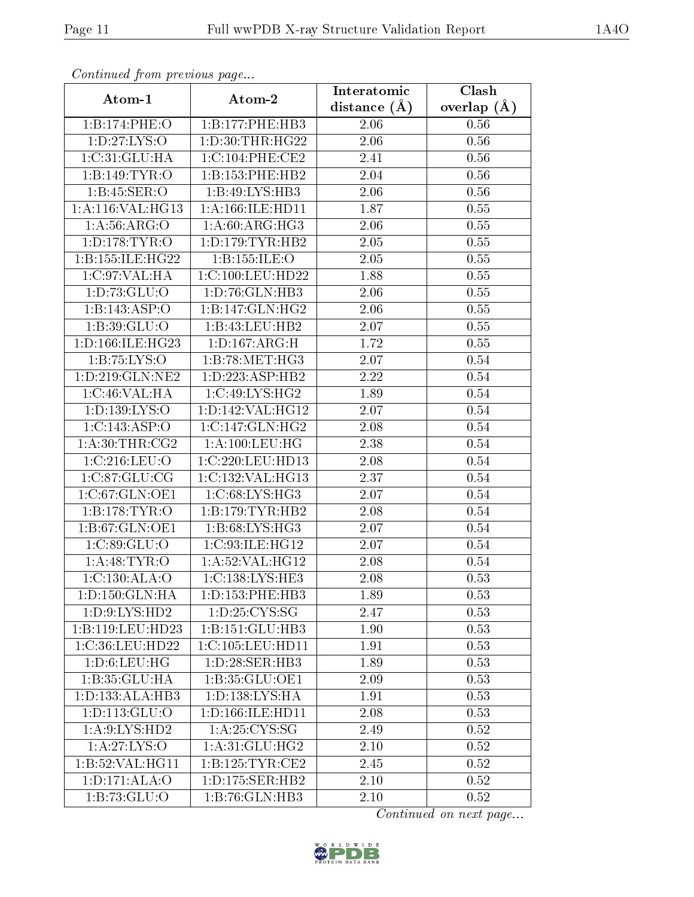| Continuea from previous page |                                     | Interatomic    | Clash             |  |  |
|------------------------------|-------------------------------------|----------------|-------------------|--|--|
| Atom-1                       | Atom-2                              | distance $(A)$ | overlap $(A)$     |  |  |
| 1:B:174:PHE:O                | 1:B:177:PHE:HB3                     | 2.06           | 0.56              |  |  |
| 1: D: 27: LYS: O             | 1: D: 30: THR: HG22                 | 2.06           | $\overline{0.56}$ |  |  |
| 1:C:31:GLU:HA                | 1:C:104:PHE:CE2                     | 2.41           | 0.56              |  |  |
| 1:B:149:TYR:O                | 1:B:153:PHE:HB2                     | 2.04           | 0.56              |  |  |
| 1: B:45: SER:O               | 1:B:49:LYS:HB3                      | 2.06           | 0.56              |  |  |
| 1:A:116:VAL:HG13             | 1: A: 166: ILE: HD11                | 1.87           | 0.55              |  |  |
| 1: A:56: ARG:O               | 1:A:60:ARG:HG3                      | 2.06           | 0.55              |  |  |
| 1: D: 178: TYR: O            | 1: D: 179: TYR: HB2                 | 2.05           | 0.55              |  |  |
| 1:B:155:ILE:HG22             | 1:B:155:ILE:O                       | 2.05           | 0.55              |  |  |
| 1:C:97:VAL:HA                | 1:C:100:LEU:HD22                    | 1.88           | 0.55              |  |  |
| 1: D: 73: GLU: O             | $1: D:76: GLN: \overline{HB3}$      | 2.06           | 0.55              |  |  |
| 1:B:143:ASP:O                | 1:B:147:GLN:HG2                     | 2.06           | 0.55              |  |  |
| 1: B:39: GLU:O               | 1:B:43:LEU:HB2                      | 2.07           | 0.55              |  |  |
| 1:D:166:ILE:HG23             | 1: D: 167: ARG:H                    | 1.72           | 0.55              |  |  |
| 1:B:75:LYS:O                 | 1:B:78:MET:HG3                      | 2.07           | 0.54              |  |  |
| 1:D:219:GLN:NE2              | 1: D: 223: ASP: HB2                 | 2.22           | 0.54              |  |  |
| 1:C:46:VAL:HA                | 1:C:49:LYS:HG2                      | 1.89           | 0.54              |  |  |
| 1:D:139:LYS:O                | 1:D:142:VAL:HG12                    | 2.07           | 0.54              |  |  |
| 1:C:143:ASP:O                | 1:C:147:GLN:HG2                     | 2.08           | 0.54              |  |  |
| 1: A:30:THR:CG2              | 1: A: 100: LEU: HG                  | 2.38           | 0.54              |  |  |
| 1:C:216:LEU:O                | 1:C:220:LEU:HD13                    | 2.08           | 0.54              |  |  |
| 1:C:87:GLU:CG                | 1:C:132:VAL:HG13                    | 2.37           | 0.54              |  |  |
| 1:C:67:GLN:OE1               | 1:C:68:LYS:HG3                      | 2.07           | 0.54              |  |  |
| 1:B:178:TYR:O                | 1:B:179:TYR:HB2                     | 2.08           | 0.54              |  |  |
| 1:B:67:GLN:OE1               | 1:B:68:LYS:HG3                      | 2.07           | 0.54              |  |  |
| 1:C:89:GLU:O                 | 1:C:93:ILE:HG12                     | 2.07           | 0.54              |  |  |
| 1: A:48: TYR:O               | 1:A:52:VAL:HG12                     | 2.08           | 0.54              |  |  |
| 1:C:130:ALA:O                | $1:C:138:LYS:\overline{\text{HE3}}$ | 2.08           | 0.53              |  |  |
| 1: D: 150: GLN: HA           | 1: D: 153: PHE: HB3                 | 1.89           | 0.53              |  |  |
| 1: D: 9: LYS: HD2            | 1: D: 25: CYS: SG                   | 2.47           | 0.53              |  |  |
| 1:B:119:LEU:HD23             | 1:B:151:GLU:HB3                     | 1.90           | 0.53              |  |  |
| 1:C:36:LEU:HD22              | 1:C:105:LEU:HDI1                    | 1.91           | 0.53              |  |  |
| 1: D:6: LEU: HG              | 1: D:28: SER:HB3                    | 1.89           | 0.53              |  |  |
| 1:B:35:GLU:HA                | 1:B:35:GLU:OE1                      | 2.09           | 0.53              |  |  |
| 1: D: 133: ALA: HB3          | 1: D: 138: LYS: HA                  | 1.91           | 0.53              |  |  |
| 1: D: 113: GLU: O            | 1: D: 166: ILE: HD11                | 2.08           | 0.53              |  |  |
| 1: A:9: LYS: HD2             | 1:A:25:CYS:SG                       | 2.49           | 0.52              |  |  |
| 1:A:27:LYS:O                 | 1: A:31: GLU: HG2                   | 2.10           | 0.52              |  |  |
| 1:B:52:VAL:HG11              | 1:B:125:TYR:CE2                     | 2.45           | 0.52              |  |  |
| 1:D:171:ALA:O                | 1: D: 175: SER: HB2                 | 2.10           | 0.52              |  |  |
| 1:B:73:GLU:O                 | 1:B:76:GLN:HB3                      | 2.10           | 0.52              |  |  |

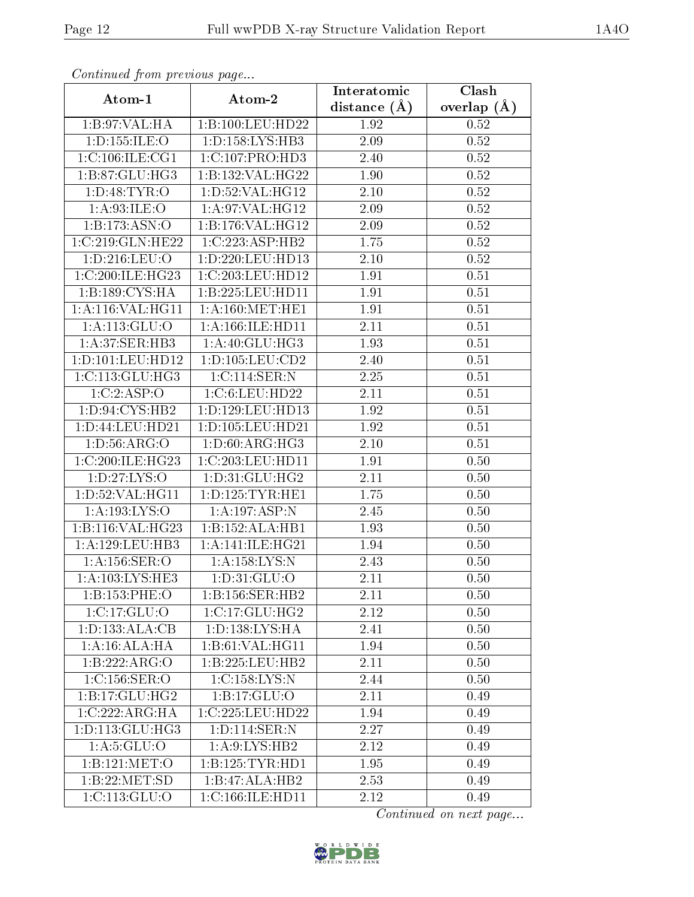| Continuea from previous page |                      | Interatomic       | Clash         |  |
|------------------------------|----------------------|-------------------|---------------|--|
| Atom-1                       | Atom-2               | distance $(A)$    | overlap $(A)$ |  |
| 1:B:97:VAL:HA                | 1:B:100:LEU:HD22     | 1.92              | 0.52          |  |
| 1: D: 155: ILE: O            | 1: D: 158: LYS: HB3  | $\overline{2.09}$ | 0.52          |  |
| 1:C:106:ILE:CG1              | 1: C: 107: PRO: HD3  | 2.40              | 0.52          |  |
| 1:B:87:GLU:HG3               | 1:B:132:VAL:HG22     | 1.90              | 0.52          |  |
| 1: D:48: TYR:O               | 1: D: 52: VAL: HG12  | 2.10              | 0.52          |  |
| 1: A:93: ILE:O               | 1:A:97:VAL:HG12      | 2.09              | 0.52          |  |
| 1: B: 173: ASN: O            | 1:B:176:VAL:HG12     | 2.09              | 0.52          |  |
| 1:C:219:GLN:HE22             | 1:C:223:ASP:HB2      | 1.75              | 0.52          |  |
| 1: D: 216: LEU: O            | 1:D:220:LEU:HD13     | 2.10              | 0.52          |  |
| 1:C:200:ILE:HG23             | 1:C:203:LEU:HD12     | 1.91              | 0.51          |  |
| $1:B:189:CYS:\overline{HA}$  | 1:B:225:LEU:HDI1     | 1.91              | 0.51          |  |
| 1:A:116:VAL:HG11             | 1: A:160:MET:HE1     | 1.91              | 0.51          |  |
| 1:A:113:GLU:O                | 1:A:166:ILE:HD11     | 2.11              | 0.51          |  |
| 1:A:37:SER:HB3               | 1: A:40: GLU:HG3     | 1.93              | 0.51          |  |
| 1: D: 101: LEU: HD12         | 1: D: 105: LEU: CD2  | 2.40              | 0.51          |  |
| 1:C:113:GLU:HG3              | 1:C:114:SER:N        | 2.25              | 0.51          |  |
| 1:C:2:ASP:O                  | 1:C:6:LEU:HD22       | 2.11              | 0.51          |  |
| 1:D:94:CYS:HB2               | 1: D: 129: LEU: HD13 | 1.92              | 0.51          |  |
| 1:D:44:LEU:HD21              | 1:D:105:LEU:HD21     | 1.92              | 0.51          |  |
| 1: D:56: ARG:O               | 1:D:60:ARG:HG3       | 2.10              | 0.51          |  |
| 1:C:200:ILE:HG23             | 1:C:203:LEU:HDI1     | 1.91              | 0.50          |  |
| 1: D: 27: LYS: O             | 1: D:31: GLU: HG2    | 2.11              | 0.50          |  |
| 1: D:52: VAL:HGI1            | 1: D: 125: TYR: HE1  | 1.75              | 0.50          |  |
| 1:A:193:LYS:O                | 1:A:197:ASP:N        | 2.45              | 0.50          |  |
| 1:B:116:VAL:H G23            | 1:B:152:ALA:HB1      | 1.93              | 0.50          |  |
| 1:A:129:LEU:HB3              | 1: A:141: ILE: HG21  | 1.94              | 0.50          |  |
| 1: A: 156: SER: O            | 1:A:158:LYS:N        | 2.43              | 0.50          |  |
| 1: A:103:LYS:HE3             | 1: D: 31: GLU: O     | 2.11              | 0.50          |  |
| 1:B:153:PHE:O                | 1:B:156:SER:HB2      | 2.11              | 0.50          |  |
| 1:C:17:GLU:O                 | 1:C:17:GLU:HG2       | 2.12              | 0.50          |  |
| 1: D: 133: ALA: CB           | 1: D: 138: LYS: HA   | 2.41              | 0.50          |  |
| 1:A:16:ALA:HA                | 1:B:61:VAL:HG11      | 1.94              | 0.50          |  |
| 1:B:222:ARG:O                | 1:B:225:LEU:HB2      | 2.11              | 0.50          |  |
| 1:C:156:SER:O                | 1:C:158:LYS:N        | 2.44              | 0.50          |  |
| 1:B:17:GLU:HG2               | 1:B:17:GLU:O         | 2.11              | 0.49          |  |
| 1:C:222:ARG:HA               | 1:C:225:LEU:HD22     | 1.94              | 0.49          |  |
| 1:D:113:GLU:HG3              | 1:D:114:SER:N        | 2.27              | 0.49          |  |
| 1: A:5: GLU:O                | 1: A:9: LYS: HB2     | 2.12              | 0.49          |  |
| 1:B:121:MET:O                | 1:B:125:TYR:HDI      | 1.95              | 0.49          |  |
| 1:B:22:MET:SD                | 1:B:47:ALA:HB2       | 2.53              | 0.49          |  |
| 1:C:113:GLU:O                | 1:C:166:ILE:HD11     | 2.12              | 0.49          |  |

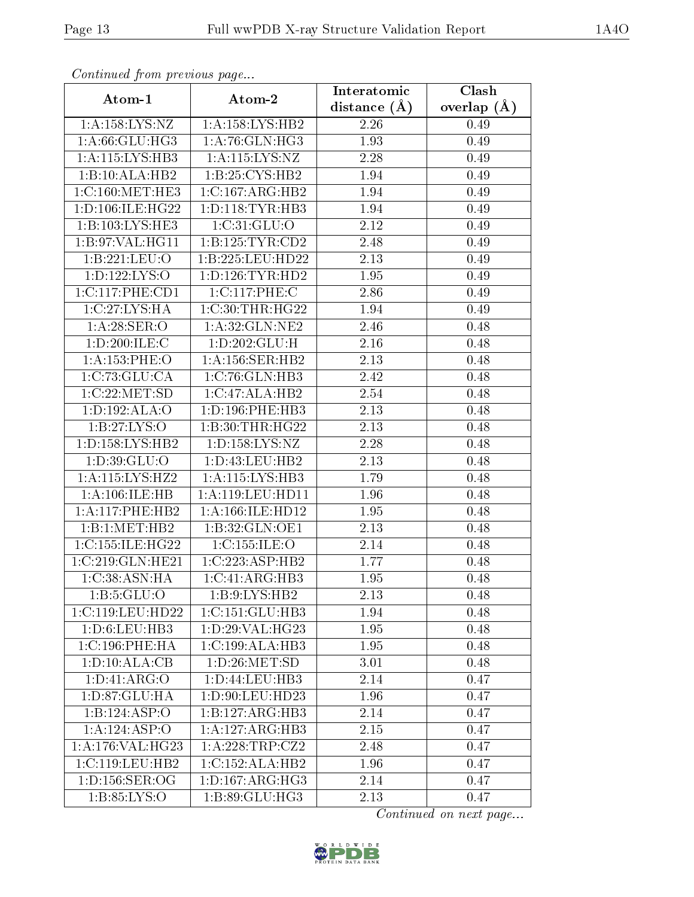| Continued from previous page |                              | Interatomic    | Clash           |  |  |
|------------------------------|------------------------------|----------------|-----------------|--|--|
| Atom-1                       | Atom-2                       | distance $(A)$ | overlap $(\AA)$ |  |  |
| 1: A: 158: LYS: NZ           | 1: A: 158: LYS: HB2          | 2.26           | 0.49            |  |  |
| 1: A.66: GLU: HG3            | 1: A:76: GLN: HG3            | 1.93           | 0.49            |  |  |
| 1: A: 115: LYS: HB3          | 1: A: 115: LYS: NZ           | 2.28           | 0.49            |  |  |
| 1:B:10:ALA:HB2               | 1:B:25:CYS:HB2               | 1.94           | 0.49            |  |  |
| 1:C:160:MET:HE3              | 1:C:167:ARG:HB2              | 1.94           | 0.49            |  |  |
| 1:D:106:ILE:HG22             | 1: D: 118: TYR: HB3          | 1.94           | 0.49            |  |  |
| 1:B:103:LYS:HE3              | 1:C:31:GLU:O                 | 2.12           | 0.49            |  |  |
| 1:B:97:VAL:HG11              | 1:B:125:TYR:CD2              | 2.48           | 0.49            |  |  |
| 1:B:221:LEU:O                | 1:B:225:LEU:HD22             | 2.13           | 0.49            |  |  |
| 1: D: 122: LYS: O            | 1: D: 126: TYR: HD2          | 1.95           | 0.49            |  |  |
| 1:C:117:PHE:CD1              | 1:C:117:PHE:C                | 2.86           | 0.49            |  |  |
| 1:C:27:LYS:HA                | 1:C:30:THR:HG22              | 1.94           | 0.49            |  |  |
| 1: A:28: SER:O               | 1: A:32: GLN: NE2            | 2.46           | 0.48            |  |  |
| 1: D:200: ILE:C              | 1: D: 202: GLU: H            | 2.16           | 0.48            |  |  |
| 1:A:153:PHE:O                | 1:A:156:SER:HB2              | 2.13           | 0.48            |  |  |
| 1:C:73:GLU:CA                | 1:C:76:GLN:HB3               | 2.42           | 0.48            |  |  |
| 1:C:22:MET:SD                | 1:C:47:ALA:HB2               | 2.54           | 0.48            |  |  |
| 1:D:192:ALA:O                | 1:D:196:PHE:HB3              | 2.13           | 0.48            |  |  |
| 1: B:27: LYS:O               | 1:B:30:THR:HG22              | 2.13           | 0.48            |  |  |
| 1: D: 158: LYS: HB2          | 1: D: 158: LYS: NZ           | 2.28           | 0.48            |  |  |
| 1:D:39:GLU:O                 | 1: D: 43: LEU: HB2           | 2.13           | 0.48            |  |  |
| 1:A:115:LYS:HZ2              | 1:A:115:LYS:HB3              | 1.79           | 0.48            |  |  |
| 1:A:106:ILE:HB               | 1:A:119:LEU:HD11             | 1.96           | 0.48            |  |  |
| 1:A:117:PHE:HB2              | 1: A: 166: ILE: HD12         | 1.95           | 0.48            |  |  |
| 1:B:1:MET:HB2                | 1:B:32:GLN:OE1               | 2.13           | 0.48            |  |  |
| 1:C:155:ILE:HG22             | 1:C:155:ILE:O                | 2.14           | 0.48            |  |  |
| 1:C:219:GLN:HE21             | 1:C:223:ASP:HB2              | 1.77           | 0.48            |  |  |
| 1: C: 38: ASN: HA            | 1:C:41:ARG:HB3               | 1.95           | 0.48            |  |  |
| 1: B:5: GLU:O                | 1:B:9:LYS:HB2                | 2.13           | 0.48            |  |  |
| 1:C:119:LEU:HD22             | 1:C:151:GLU:HB3              | 1.94           | 0.48            |  |  |
| 1: D: 6: LEU: HB3            | 1:D:29:VAL:HG23              | 1.95           | 0.48            |  |  |
| 1: C: 196: PHE: HA           | 1:C:199:ALA:HB3              | 1.95           | 0.48            |  |  |
| 1:D:10:ALA:CB                | 1: D:26: MET:SD              | 3.01           | 0.48            |  |  |
| 1: D: 41: ARG: O             | 1: D: 44: LEU: HB3           | 2.14           | 0.47            |  |  |
| 1:D:87:GLU:HA                | 1: D:90: LEU:HD23            | 1.96           | 0.47            |  |  |
| 1:B:124:ASP:O                | 1:B:127:ARG:HB3              | 2.14           | 0.47            |  |  |
| 1:A:124:ASP:O                | $1:A:127:ARG:H\overline{B3}$ | 2.15           | 0.47            |  |  |
| 1:A:176:VAL:HG23             | 1:A:228:TRP:CZ2              | 2.48           | 0.47            |  |  |
| 1: C: 119: LEU: HB2          | 1:C:152:ALA:HB2              | 1.96           | 0.47            |  |  |
| 1: D: 156: SER: OG           | 1: D: 167: ARG: HG3          | 2.14           | 0.47            |  |  |
| 1: B:85: LYS:O               | 1:B:89:GLU:HG3               | 2.13           | 0.47            |  |  |

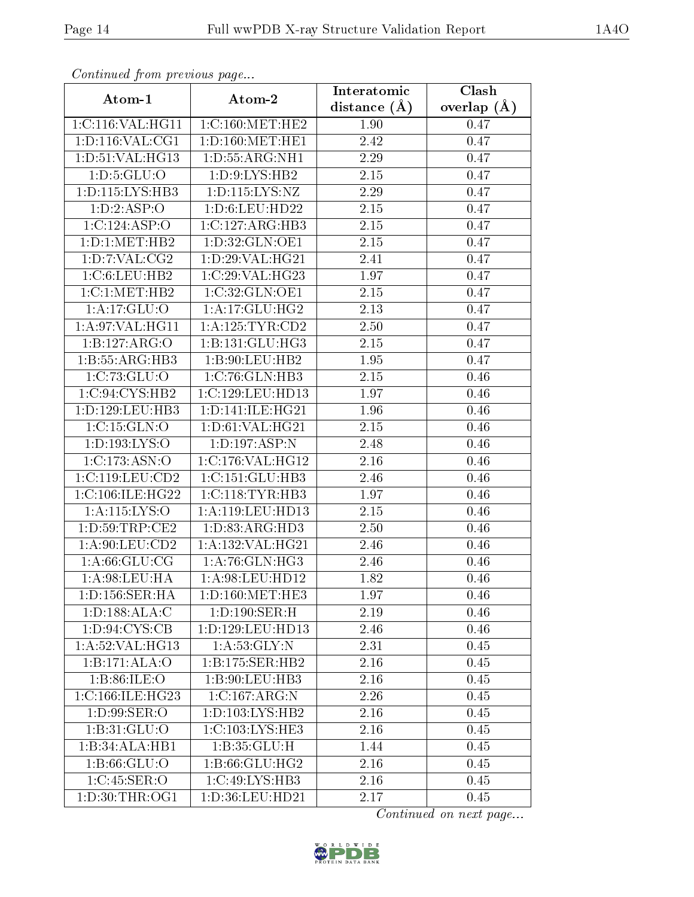| Continuea from previous page |                      | Interatomic       | Clash         |  |
|------------------------------|----------------------|-------------------|---------------|--|
| Atom-1                       | Atom-2               | distance $(A)$    | overlap $(A)$ |  |
| 1:C:116:VAL:HG11             | 1:C:160:MET:HE2      | 1.90              | 0.47          |  |
| 1: D: 116: VAL: CG1          | 1: D: 160:MET: HE1   | $\overline{2.42}$ | 0.47          |  |
| 1:D:51:VAL:HG13              | 1: D: 55: ARG: NH1   | 2.29              | 0.47          |  |
| 1: D: 5: GLU: O              | 1:D:9:LYS:HB2        | 2.15              | 0.47          |  |
| 1: D: 115: LYS: HB3          | 1: D: 115: LYS: NZ   | 2.29              | 0.47          |  |
| 1:D:2:ASP:O                  | 1: D:6: LEU: HD22    | 2.15              | 0.47          |  |
| 1:C:124:ASP:O                | 1:C:127:ARG:HB3      | 2.15              | 0.47          |  |
| 1: D: 1: MET: HB2            | 1:D:32:GLN:OE1       | 2.15              | 0.47          |  |
| 1: D: 7: VAL: CG2            | 1: D:29: VAL:HG21    | 2.41              | 0.47          |  |
| 1:C:6:LEU:HB2                | 1:C:29:VAL:HG23      | 1.97              | 0.47          |  |
| 1:C:1:MET:HB2                | 1:C:32:GLN:OE1       | 2.15              | 0.47          |  |
| 1:A:17:GLU:O                 | 1:A:17:GLU:HG2       | 2.13              | 0.47          |  |
| 1: A:97: VAL:HGI1            | 1: A:125: TYR: CD2   | 2.50              | 0.47          |  |
| 1:B:127:ARG:O                | 1:B:131:GLU:HG3      | 2.15              | 0.47          |  |
| 1:B:55:ARG:HB3               | 1:B:90:LEU:HB2       | 1.95              | 0.47          |  |
| 1:C:73:GLU:O                 | 1:C:76:GLN:HB3       | 2.15              | 0.46          |  |
| 1:C:94:CYS:HB2               | 1:C:129:LEU:HD13     | 1.97              | 0.46          |  |
| 1: D: 129: LEU: HB3          | 1: D: 141: ILE: HG21 | 1.96              | 0.46          |  |
| 1:C:15:GLN:O                 | 1:D:61:VAL:HG21      | $\overline{2.15}$ | 0.46          |  |
| 1: D: 193: LYS: O            | 1:D:197:ASP:N        | 2.48              | 0.46          |  |
| 1:C:173:ASN:O                | 1:C:176:VAL:HG12     | 2.16              | 0.46          |  |
| 1:C:119:LEU:CD2              | 1: C: 151: GLU: HB3  | 2.46              | 0.46          |  |
| 1:C:106:ILE:HG22             | 1: C:118: TYR:HB3    | 1.97              | 0.46          |  |
| 1:A:115:LYS:O                | 1:A:119:LEU:HD13     | 2.15              | 0.46          |  |
| 1: D: 59: TRP: CE2           | 1: D: 83: ARG: HD3   | 2.50              | 0.46          |  |
| 1: A:90: LEU:CD2             | 1:A:132:VAL:HG21     | 2.46              | 0.46          |  |
| 1: A:66: GLU:CG              | 1:A:76:GLN:HG3       | 2.46              | 0.46          |  |
| 1: A:98: LEU: HA             | 1:A:98:LEU:HD12      | 1.82              | 0.46          |  |
| 1: D: 156: SER: HA           | 1: D: 160:MET: HE3   | 1.97              | 0.46          |  |
| 1:D:188:ALA:C                | 1: D: 190: SER:H     | 2.19              | 0.46          |  |
| 1: D:94: CYS:CB              | 1:D:129:LEU:HD13     | 2.46              | 0.46          |  |
| 1: A:52: VAL:HG13            | 1:A:53:GLY:N         | 2.31              | 0.45          |  |
| 1:B:171:ALA:O                | 1:B:175:SER:HB2      | 2.16              | 0.45          |  |
| 1:B:86:ILE:O                 | 1:B:90:LEU:HB3       | 2.16              | 0.45          |  |
| 1:C:166:ILE:HG23             | 1:C:167:ARG:N        | 2.26              | 0.45          |  |
| 1: D:99: SER:O               | 1: D: 103: LYS: HB2  | 2.16              | 0.45          |  |
| 1: B:31: GLU:O               | 1:C:103:LYS:HE3      | 2.16              | 0.45          |  |
| 1:B:34:ALA:HB1               | 1: B:35: GLU:H       | 1.44              | 0.45          |  |
| 1: B:66: GLU:O               | 1:B:66:GLU:HG2       | 2.16              | 0.45          |  |
| 1:C:45:SER:O                 | 1:C:49:LYS:HB3       | 2.16              | 0.45          |  |
| 1: D:30: THR:OG1             | 1:D:36:LEU:HD21      | 2.17              | 0.45          |  |

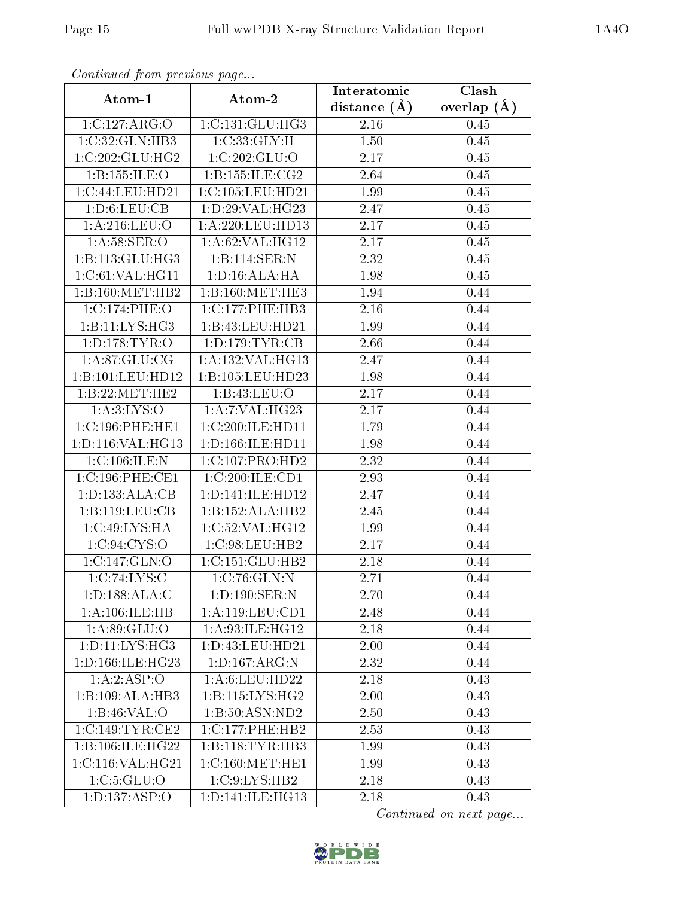| Commaca from previous page |                     | Interatomic    | $\overline{\text{Clash}}$ |
|----------------------------|---------------------|----------------|---------------------------|
| Atom-1                     | Atom-2              | distance $(A)$ | overlap $(A)$             |
| 1:C:127:ARG:O              | 1:C:131:GLU:HG3     | 2.16           | 0.45                      |
| 1:C:32:GLN:HB3             | 1:C:33:GLY:H        | 1.50           | 0.45                      |
| 1:C:202:GLU:HG2            | 1:C:202:GLU:O       | 2.17           | 0.45                      |
| 1:B:155:ILE:O              | 1:B:155:ILE:CG2     | 2.64           | 0.45                      |
| 1:C:44:LEU:HD21            | 1:C:105:LEU:HD21    | 1.99           | 0.45                      |
| 1: D:6: LEU: CB            | 1: D:29: VAL:HG23   | 2.47           | 0.45                      |
| 1:A:216:LEU:O              | 1:A:220:LEU:HD13    | 2.17           | $0.45\,$                  |
| 1: A:58: SER:O             | 1:A:62:VAL:HG12     | 2.17           | 0.45                      |
| 1:B:113:GLU:HG3            | 1:B:114:SER:N       | 2.32           | $0.45\,$                  |
| 1:C:61:VAL:HG11            | 1: D: 16: ALA: HA   | 1.98           | 0.45                      |
| 1:B:160:MET:HB2            | 1:B:160:MET:HE3     | 1.94           | 0.44                      |
| 1:C:174:PHE:O              | 1:C:177:PHE:HB3     | 2.16           | 0.44                      |
| 1:B:11:LYS:HG3             | 1:B:43:LEU:HD21     | 1.99           | 0.44                      |
| 1: D: 178: TYR: O          | 1: D: 179: TYR: CB  | 2.66           | 0.44                      |
| 1: A:87: GLU:CG            | 1:A:132:VAL:HG13    | 2.47           | 0.44                      |
| 1:B:101:LEU:HD12           | 1:B:105:LEU:HD23    | 1.98           | 0.44                      |
| 1:B:22:MET:HE2             | 1:B:43:LEU:O        | 2.17           | 0.44                      |
| 1: A:3: LYS:O              | 1:A:7:VAL:HG23      | 2.17           | 0.44                      |
| 1:C:196:PHE:HE1            | 1:C:200:ILE:HD11    | 1.79           | 0.44                      |
| 1:D:116:VAL:HG13           | 1:D:166:ILE:HD11    | 1.98           | 0.44                      |
| 1:C:106:ILE:N              | 1:C:107:PRO:HD2     | 2.32           | 0.44                      |
| 1:C:196:PHE:CE1            | 1:C:200:ILE:CD1     | 2.93           | 0.44                      |
| 1:D:133:ALA:CB             | 1:D:141:ILE:HD12    | 2.47           | 0.44                      |
| 1:B:119:LEU:CB             | 1:B:152:ALA:HB2     | 2.45           | 0.44                      |
| 1:C:49:LYS:HA              | 1:C:52:VAL:HG12     | 1.99           | 0.44                      |
| 1:C:94:CYS:O               | 1:C:98:LEU:HB2      | 2.17           | 0.44                      |
| 1:C:147:GLN:O              | 1:C:151:GLU:HB2     | 2.18           | 0.44                      |
| 1:C:74:LYS:C               | 1:C:76:GLN:N        | 2.71           | 0.44                      |
| 1: D: 188: ALA: C          | 1: D: 190: SER: N   | 2.70           | 0.44                      |
| 1:A:106:ILE:HB             | 1: A: 119: LEU: CD1 | 2.48           | 0.44                      |
| 1: A.89: GLU:O             | 1: A:93:ILE:HG12    | 2.18           | 0.44                      |
| 1: D: 11: LYS: HG3         | 1:D:43:LEU:HD21     | 2.00           | 0.44                      |
| 1:D:166:ILE:HG23           | 1: D: 167: ARG: N   | 2.32           | 0.44                      |
| 1:A:2:ASP:O                | 1: A:6: LEU: HD22   | 2.18           | 0.43                      |
| 1:B:109:ALA:HB3            | 1:B:115:LYS:HG2     | 2.00           | 0.43                      |
| 1:B:46:VAL:O               | 1:B:50:ASN:ND2      | 2.50           | 0.43                      |
| 1:C:149:TYR:CE2            | 1:C:177:PHE:HB2     | 2.53           | 0.43                      |
| 1:B:106:ILE:HG22           | 1:B:118:TYR:HB3     | 1.99           | 0.43                      |
| 1:C:116:VAL:HG21           | 1:C:160:MET:HE1     | 1.99           | 0.43                      |
| 1:C:5:GLU:O                | 1:C:9:LYS:HB2       | 2.18           | 0.43                      |
| 1: D: 137: ASP: O          | 1:D:141:ILE:HG13    | 2.18           | 0.43                      |

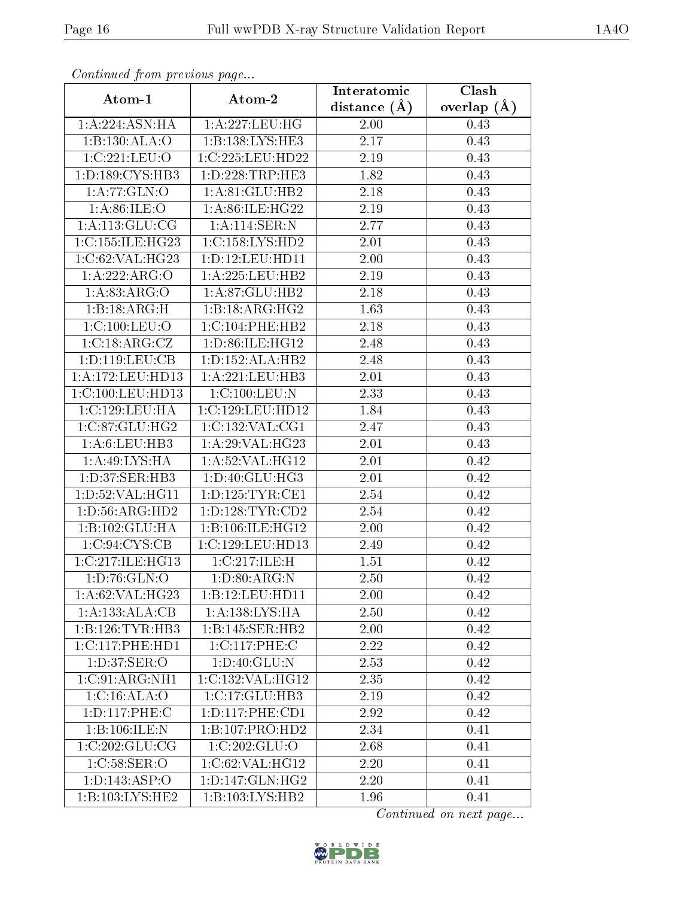| Continuea from previous page              |                     | Interatomic      | Clash         |  |  |
|-------------------------------------------|---------------------|------------------|---------------|--|--|
| Atom-1                                    | Atom-2              | distance $(\AA)$ | overlap $(A)$ |  |  |
| 1:A:224:ASN:HA                            | 1:A:227:LEU:HG      | 2.00             | 0.43          |  |  |
| 1:B:130:ALA:O                             | 1:B:138:LYS:HE3     | 2.17             | 0.43          |  |  |
| 1:C:221:LEU:O                             | 1:C:225:LEU:HD22    | 2.19             | 0.43          |  |  |
| 1: D: 189: CYS: HB3                       | 1: D: 228: TRP: HE3 | 1.82             | 0.43          |  |  |
| 1:A:77:GLN:O                              | 1:A:81:GLU:HB2      | 2.18             | 0.43          |  |  |
| 1: A:86: ILE:O                            | 1:A:86:ILE:HG22     | 2.19             | 0.43          |  |  |
| 1: A:113: GLU:CG                          | 1: A:114: SER: N    | 2.77             | 0.43          |  |  |
| 1:C:155:ILE:HG23                          | 1:C:158:LYS:HD2     | 2.01             | 0.43          |  |  |
| 1:C:62:VAL:HG23                           | 1: D: 12: LEU: HD11 | 2.00             | 0.43          |  |  |
| 1:A:222:ARG:O                             | 1: A: 225: LEU: HB2 | 2.19             | 0.43          |  |  |
| 1:A:83:ARG:O                              | 1:A:87:GLU:HB2      | 2.18             | 0.43          |  |  |
| 1:B:AB <sub>3</sub> :ARG:H                | 1:B:18:ARG:HG2      | 1.63             | 0.43          |  |  |
| 1:C:100:LEU:O                             | 1:C:104:PHE:HB2     | 2.18             | 0.43          |  |  |
| 1:C:18:ARG:CZ                             | 1:D:86:ILE:HG12     | 2.48             | 0.43          |  |  |
| 1:D:119:LEU:CB                            | 1:D:152:ALA:HB2     | 2.48             | 0.43          |  |  |
| $1:\overline{A}:172:\underline{LEU}:HD13$ | 1: A: 221: LEU: HB3 | 2.01             | 0.43          |  |  |
| 1:C:100:LEU:HD13                          | 1:C:100:LEU:N       | 2.33             | 0.43          |  |  |
| 1:C:129:LEU:HA                            | 1:C:129:LEU:HD12    | 1.84             | 0.43          |  |  |
| 1:C:87:GLU:HG2                            | 1:C:132:VAL:CG1     | 2.47             | 0.43          |  |  |
| 1: A:6: LEU: HB3                          | 1:A:29:VAL:HG23     | 2.01             | 0.43          |  |  |
| 1:A:49:LYS:HA                             | 1:A:52:VAL:HG12     | 2.01             | 0.42          |  |  |
| 1:D:37:SER:HB3                            | 1:D:40:GLU:HG3      | 2.01             | 0.42          |  |  |
| 1: D:52: VAL:HGI1                         | 1: D: 125: TYR: CE1 | 2.54             | 0.42          |  |  |
| 1: D: 56: ARG: HD2                        | 1: D: 128: TYR: CD2 | 2.54             | 0.42          |  |  |
| 1:B:102:GLU:HA                            | 1:B:106:ILE:HG12    | 2.00             | 0.42          |  |  |
| 1:C:94:CYS:CB                             | 1:C:129:LEU:HD13    | 2.49             | 0.42          |  |  |
| 1:C:217:ILE:HG13                          | 1:C:217:ILE:H       | 1.51             | 0.42          |  |  |
| 1: D:76: GLN:O                            | 1: D:80: ARG: N     | 2.50             | 0.42          |  |  |
| 1: A:62:VAL:HG23                          | 1:B:12:LEU:HD11     | 2.00             | 0.42          |  |  |
| 1:A:133:ALA:CB                            | 1:A:138:LYS:HA      | 2.50             | 0.42          |  |  |
| 1:B:126:TYR:HB3                           | 1:B:145:SER:HB2     | 2.00             | 0.42          |  |  |
| 1: C: 117: PHE: HD1                       | 1:C:117:PHE:C       | 2.22             | 0.42          |  |  |
| 1: D:37: SER:O                            | 1:D:40:GLU:N        | 2.53             | 0.42          |  |  |
| 1:C:91:ARG:NH1                            | 1:C:132:VAL:HG12    | 2.35             | 0.42          |  |  |
| 1: C:16: ALA:O                            | 1:C:17:GLU:HB3      | 2.19             | 0.42          |  |  |
| 1:D:117:PHE:C                             | 1: D: 117: PHE: CD1 | 2.92             | 0.42          |  |  |
| 1:B:106:ILE:N                             | 1:B:107:PRO:HD2     | 2.34             | 0.41          |  |  |
| 1:C:202:GLU:CG                            | 1:C:202:GLU:O       | 2.68             | 0.41          |  |  |
| 1:C:58:SER:O                              | 1:C:62:VAL:HG12     | 2.20             | 0.41          |  |  |
| 1: D: 143: ASP: O                         | 1: D: 147: GLN: HG2 | 2.20             | 0.41          |  |  |
| 1:B:103:LYS:HE2                           | 1:B:103:LYS:HB2     | 1.96             | 0.41          |  |  |

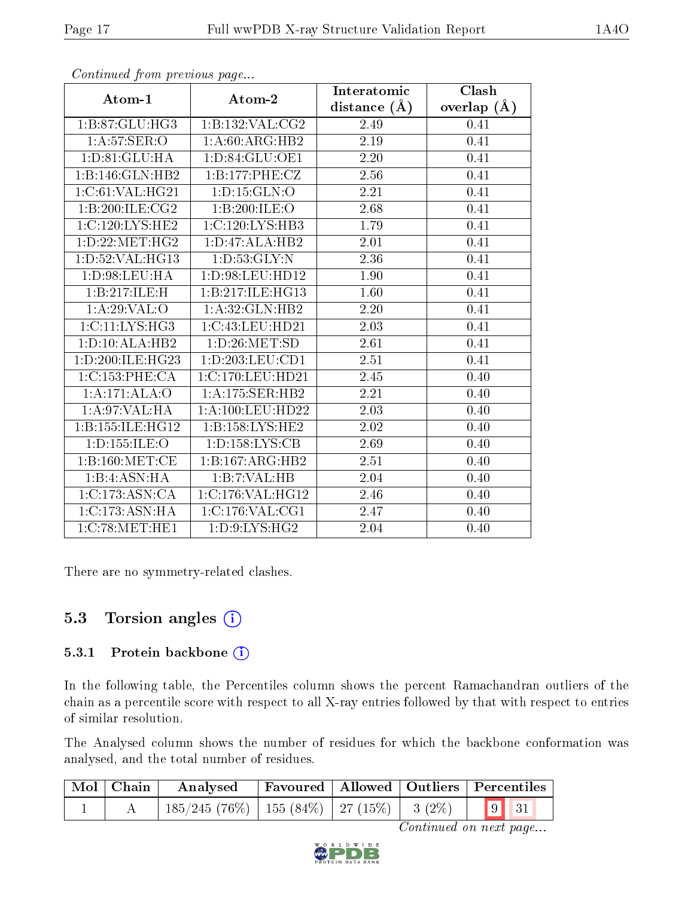|                    |                              | Interatomic      | Clash           |
|--------------------|------------------------------|------------------|-----------------|
| Atom-1             | Atom-2                       | distance $(\AA)$ | overlap $(\AA)$ |
| 1:B:87:GLU:HG3     | 1:B:132:VAL:CG2              | 2.49             | 0.41            |
| 1: A:57: SER:O     | 1:A:60:ARG:HB2               | 2.19             | 0.41            |
| 1: D:81: GLU: HA   | 1: D:84: GLU:OE1             | 2.20             | 0.41            |
| 1:B:146:GLN:HB2    | 1:B:177:PHE:CZ               | 2.56             | 0.41            |
| 1:C:61:VAL:HG21    | 1: D: 15: GLN: O             | 2.21             | 0.41            |
| 1:B:200:ILE:CG2    | 1:B:200:ILE:O                | 2.68             | 0.41            |
| 1:C:120:LYS:HE2    | 1:C:120:LYS:HB3              | 1.79             | 0.41            |
| 1: D: 22: MET: HG2 | 1:D:47:ALA:HB2               | 2.01             | 0.41            |
| 1: D:52: VAL:HG13  | 1: D: 53: GLY:N              | 2.36             | 0.41            |
| 1: D:98: LEU: HA   | 1: D:98: LEU: HD12           | 1.90             | 0.41            |
| 1:B:217:ILE:H      | 1:B:217:ILE:HG13             | 1.60             | 0.41            |
| 1:A:29:VAL:O       | 1:A:32:GLN:HB2               | 2.20             | 0.41            |
| 1:CI1:LYS:HG3      | 1:C:43:LEU:HD21              | 2.03             | 0.41            |
| 1: D: 10: ALA: HB2 | 1: D:26: MET:SD              | 2.61             | 0.41            |
| 1:D:200:ILE:HG23   | 1:D:203:LEU:CD1              | 2.51             | 0.41            |
| 1:C:153:PHE:CA     | 1:C:170:LEU:HD21             | 2.45             | 0.40            |
| 1:A:171:ALA:O      | 1:A:175:SER:HB2              | 2.21             | 0.40            |
| 1: A:97: VAL:HA    | 1: A: 100: LEU: HD22         | 2.03             | 0.40            |
| 1:B:155:ILE:HG12   | $1:B:158:LYS:H\overline{E2}$ | 2.02             | 0.40            |
| 1: D: 155: ILE: O  | 1: D: 158: LYS: CB           | 2.69             | 0.40            |
| 1: B: 160:MET:CE   | 1:B:167:ARG:HB2              | 2.51             | 0.40            |
| 1:B:4:ASN:HA       | 1:B:7:VAL:HB                 | $2.04\,$         | 0.40            |
| 1:C:173:ASN:CA     | 1:C:176:VAL:HG12             | 2.46             | 0.40            |
| 1:C:173:ASN:HA     | 1:C:176:VAL:CG1              | 2.47             | 0.40            |
| 1:C:78:MET:HE1     | 1: D: 9: LYS: HG2            | 2.04             | 0.40            |

There are no symmetry-related clashes.

## 5.3 Torsion angles  $(i)$

#### 5.3.1 Protein backbone (i)

In the following table, the Percentiles column shows the percent Ramachandran outliers of the chain as a percentile score with respect to all X-ray entries followed by that with respect to entries of similar resolution.

The Analysed column shows the number of residues for which the backbone conformation was analysed, and the total number of residues.

| Mol   Chain | Analysed   Favoured   Allowed   Outliers   Percentiles |  |  |
|-------------|--------------------------------------------------------|--|--|
|             |                                                        |  |  |

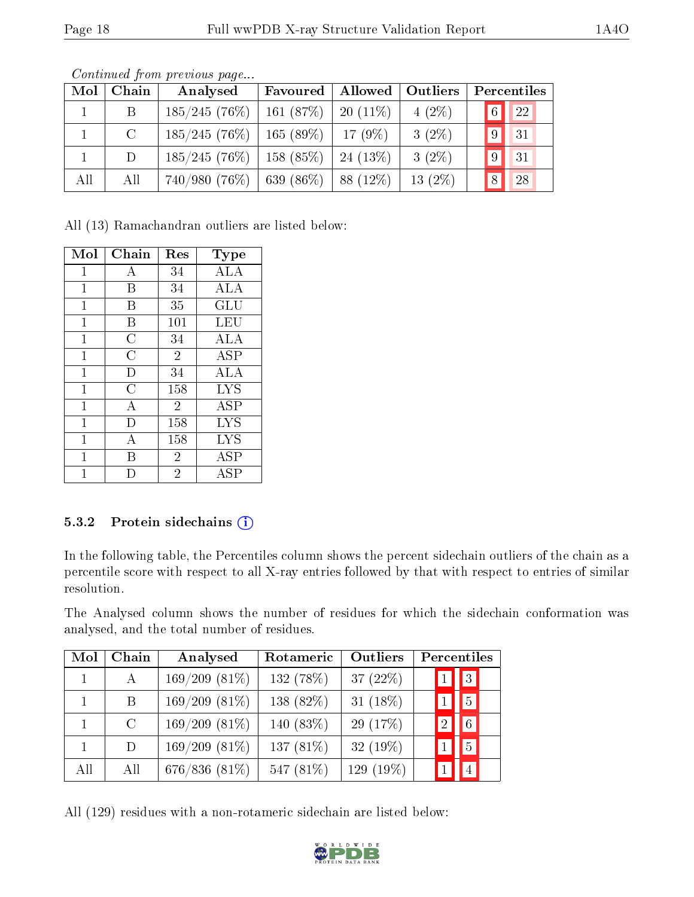| Mol          | Chain   | Analysed                                  | Favoured                 | Allowed | Outliers   | Percentiles          |
|--------------|---------|-------------------------------------------|--------------------------|---------|------------|----------------------|
| $\mathbf{1}$ | B       | $185/245(76\%)$                           | $161 (87\%)$   20 (11\%) |         | $4(2\%)$   | 22 <br>6             |
|              | $\rm C$ | 185/245(76%)                              | $165(89\%)$   17 (9\%)   |         | $3(2\%)$   | 9 <br> 31            |
|              | D       | $185/245(76\%)$                           | $158(85\%)$   24 (13\%)  |         | $3(2\%)$   | 31<br>9 <sup>1</sup> |
| All          | All     | $740/980$ (76\%)   639 (86\%)   88 (12\%) |                          |         | 13 $(2\%)$ | 8<br>28              |

Continued from previous page...

All (13) Ramachandran outliers are listed below:

| Mol          | Chain          | Res            | Type                 |
|--------------|----------------|----------------|----------------------|
| $\mathbf{1}$ | А              | 34             | ALA                  |
| 1            | Β              | 34             | ALA                  |
| 1            | В              | 35             | $\operatorname{GLU}$ |
| $\mathbf{1}$ | Β              | 101            | LEU                  |
| 1            | $\overline{C}$ | 34             | ALA                  |
| 1            | C              | $\overline{2}$ | <b>ASP</b>           |
| 1            | D              | 34             | <b>ALA</b>           |
| $\mathbf{1}$ | C              | 158            | <b>LYS</b>           |
| $\mathbf{1}$ | А              | $\overline{2}$ | <b>ASP</b>           |
| 1            | D              | 158            | <b>LYS</b>           |
| 1            | А              | 158            | <b>LYS</b>           |
| 1            | В              | $\overline{2}$ | ASP                  |
|              |                | $\overline{2}$ | ASP                  |

#### 5.3.2 Protein sidechains (i)

In the following table, the Percentiles column shows the percent sidechain outliers of the chain as a percentile score with respect to all X-ray entries followed by that with respect to entries of similar resolution.

The Analysed column shows the number of residues for which the sidechain conformation was analysed, and the total number of residues.

| Mol | Chain         | Analysed        | Rotameric    | Outliers     |               | Percentiles    |  |
|-----|---------------|-----------------|--------------|--------------|---------------|----------------|--|
|     | $\mathsf{A}$  | $169/209(81\%)$ | 132 $(78%)$  | 37 $(22%)$   |               | 3 <sup>1</sup> |  |
|     | B.            | $169/209(81\%)$ | 138 (82%)    | 31 $(18\%)$  |               | 5 <sup>1</sup> |  |
|     | $\mathcal{C}$ | $169/209(81\%)$ | 140 $(83\%)$ | 29 (17%)     | $\mathcal{D}$ | 6 <sup>1</sup> |  |
|     | D             | $169/209(81\%)$ | 137 $(81\%)$ | 32 $(19\%)$  |               | 5 <sup>1</sup> |  |
| All | All           | 676/836 (81%)   | 547 (81%)    | 129 $(19\%)$ |               |                |  |

All (129) residues with a non-rotameric sidechain are listed below:

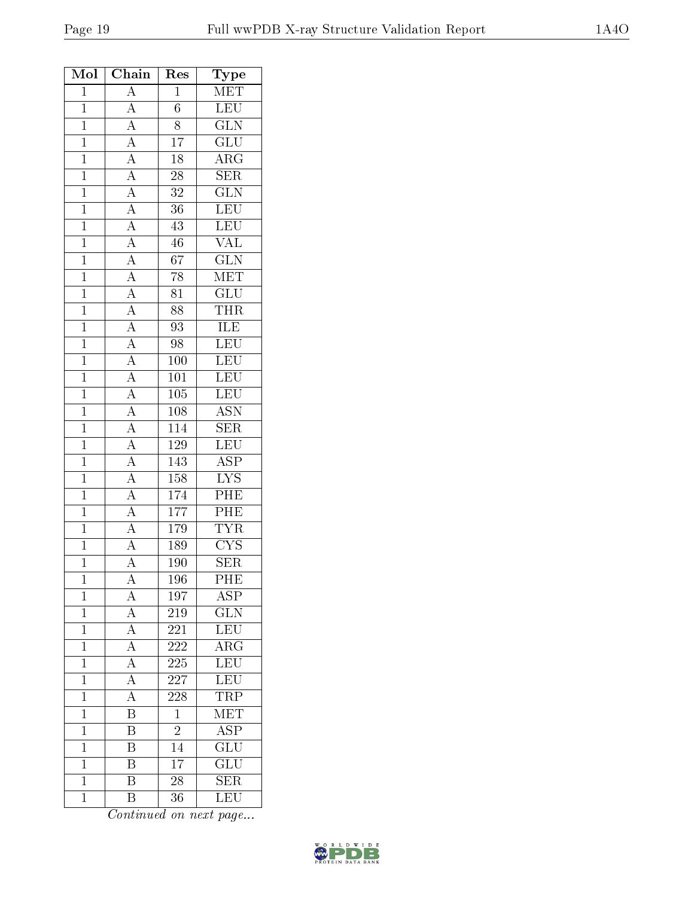| Mol            | Chain                                                                                                                                                                                                                                                                                                                                                                                                                                                                            | Res              | Type                      |
|----------------|----------------------------------------------------------------------------------------------------------------------------------------------------------------------------------------------------------------------------------------------------------------------------------------------------------------------------------------------------------------------------------------------------------------------------------------------------------------------------------|------------------|---------------------------|
| $\overline{1}$ | $\overline{A}$                                                                                                                                                                                                                                                                                                                                                                                                                                                                   | $\overline{1}$   | $\overline{\text{MET}}$   |
| $\overline{1}$ |                                                                                                                                                                                                                                                                                                                                                                                                                                                                                  | $\overline{6}$   | <b>LEU</b>                |
| $\mathbf{1}$   |                                                                                                                                                                                                                                                                                                                                                                                                                                                                                  | $\overline{8}$   | $\overline{\text{GLN}}$   |
| $\overline{1}$ |                                                                                                                                                                                                                                                                                                                                                                                                                                                                                  | $\overline{17}$  | $\overline{{\rm GLU}}$    |
| $\overline{1}$ |                                                                                                                                                                                                                                                                                                                                                                                                                                                                                  | 18               | $\overline{\text{ARG}}$   |
| $\overline{1}$ |                                                                                                                                                                                                                                                                                                                                                                                                                                                                                  | $\overline{28}$  | $\overline{\text{SER}}$   |
| $\overline{1}$ |                                                                                                                                                                                                                                                                                                                                                                                                                                                                                  | $\overline{32}$  | $\overline{\text{GLN}}$   |
| $\mathbf{1}$   |                                                                                                                                                                                                                                                                                                                                                                                                                                                                                  | 36               | $\overline{\text{LEU}}$   |
| $\overline{1}$ |                                                                                                                                                                                                                                                                                                                                                                                                                                                                                  | 43               | LEU                       |
| $\overline{1}$ |                                                                                                                                                                                                                                                                                                                                                                                                                                                                                  | 46               | <b>VAL</b>                |
| $\overline{1}$ |                                                                                                                                                                                                                                                                                                                                                                                                                                                                                  | $\overline{67}$  | $\overline{\text{GLN}}$   |
| $\mathbf{1}$   |                                                                                                                                                                                                                                                                                                                                                                                                                                                                                  | 78               | $\overline{\text{MET}}$   |
| $\mathbf{1}$   |                                                                                                                                                                                                                                                                                                                                                                                                                                                                                  | $\overline{81}$  | $\overline{\text{GLU}}$   |
| $\overline{1}$ |                                                                                                                                                                                                                                                                                                                                                                                                                                                                                  | 88               | $\overline{\text{THR}}$   |
| $\mathbf{1}$   | $\frac{\overline{A}}{\overline{A}}\frac{\overline{A}}{\overline{A}}\frac{\overline{A}}{\overline{A}}\frac{\overline{A}}{\overline{A}}\frac{\overline{A}}{\overline{A}}\frac{\overline{A}}{\overline{A}}\frac{\overline{A}}{\overline{A}}\frac{\overline{A}}{\overline{A}}\frac{\overline{A}}{\overline{A}}\frac{\overline{A}}{\overline{A}}\frac{\overline{A}}{\overline{A}}\frac{\overline{A}}{\overline{A}}\frac{\overline{A}}{\overline{A}}\frac{\overline{A}}{\overline{A}}$ | $\overline{93}$  | <b>ILE</b>                |
| $\overline{1}$ |                                                                                                                                                                                                                                                                                                                                                                                                                                                                                  | $\overline{98}$  | LEU                       |
| $\mathbf{1}$   |                                                                                                                                                                                                                                                                                                                                                                                                                                                                                  | 100              | $\overline{\text{LEU}}$   |
| $\overline{1}$ |                                                                                                                                                                                                                                                                                                                                                                                                                                                                                  | $\overline{101}$ | LEU                       |
| $\overline{1}$ |                                                                                                                                                                                                                                                                                                                                                                                                                                                                                  | 105              | $\overline{\text{LEU}}$   |
| $\overline{1}$ |                                                                                                                                                                                                                                                                                                                                                                                                                                                                                  | 108              | $\overline{\mathrm{ASN}}$ |
| $\overline{1}$ |                                                                                                                                                                                                                                                                                                                                                                                                                                                                                  | 114              | SER                       |
| $\mathbf{1}$   |                                                                                                                                                                                                                                                                                                                                                                                                                                                                                  | 129              | $\overline{\text{LEU}}$   |
| $\overline{1}$ |                                                                                                                                                                                                                                                                                                                                                                                                                                                                                  | 143              | $\overline{\text{ASP}}$   |
| $\overline{1}$ |                                                                                                                                                                                                                                                                                                                                                                                                                                                                                  | $\overline{158}$ | $\overline{\text{LYS}}$   |
| $\overline{1}$ |                                                                                                                                                                                                                                                                                                                                                                                                                                                                                  | 174              | $\overline{\text{PHE}}$   |
| $\overline{1}$ |                                                                                                                                                                                                                                                                                                                                                                                                                                                                                  | $\overline{177}$ | PHE                       |
| $\mathbf{1}$   |                                                                                                                                                                                                                                                                                                                                                                                                                                                                                  | 179              | <b>TYR</b>                |
| $\overline{1}$ |                                                                                                                                                                                                                                                                                                                                                                                                                                                                                  | 189              | $\overline{\text{CYS}}$   |
| $\overline{1}$ | $\overline{A}$                                                                                                                                                                                                                                                                                                                                                                                                                                                                   | 190              | <b>SER</b>                |
| $\mathbf 1$    | A                                                                                                                                                                                                                                                                                                                                                                                                                                                                                | 196              | PHE                       |
| $\mathbf 1$    | A                                                                                                                                                                                                                                                                                                                                                                                                                                                                                | 197              | <b>ASP</b>                |
| $\mathbf{1}$   | $\overline{A}$                                                                                                                                                                                                                                                                                                                                                                                                                                                                   | 219              | GLN                       |
| $\overline{1}$ |                                                                                                                                                                                                                                                                                                                                                                                                                                                                                  | 221              | LEU                       |
| $\mathbf{1}$   | $\frac{\overline{A}}{\overline{A}}$                                                                                                                                                                                                                                                                                                                                                                                                                                              | 222              | $\overline{\rm ARG}$      |
| $\overline{1}$ | $\overline{A}$                                                                                                                                                                                                                                                                                                                                                                                                                                                                   | 225              | LEU                       |
| $\mathbf 1$    | $\overline{A}$                                                                                                                                                                                                                                                                                                                                                                                                                                                                   | 227              | LEU                       |
| $\mathbf 1$    | $\overline{A}$                                                                                                                                                                                                                                                                                                                                                                                                                                                                   | 228              | <b>TRP</b>                |
| $\mathbf{1}$   | $\overline{\mathbf{B}}$                                                                                                                                                                                                                                                                                                                                                                                                                                                          | $\mathbf{1}$     | MET                       |
| $\mathbf{1}$   | B                                                                                                                                                                                                                                                                                                                                                                                                                                                                                | $\overline{2}$   | $\overline{\text{ASP}}$   |
| $\mathbf{1}$   | $\overline{\mathrm{B}}$                                                                                                                                                                                                                                                                                                                                                                                                                                                          | 14               | $\overline{\mathrm{GLU}}$ |
| $\mathbf{1}$   | $\overline{\mathrm{B}}$                                                                                                                                                                                                                                                                                                                                                                                                                                                          | $\overline{17}$  | GLU                       |
| $\mathbf 1$    | Β                                                                                                                                                                                                                                                                                                                                                                                                                                                                                | 28               | SER                       |
| $\mathbf{1}$   | B                                                                                                                                                                                                                                                                                                                                                                                                                                                                                | 36               | LEU                       |

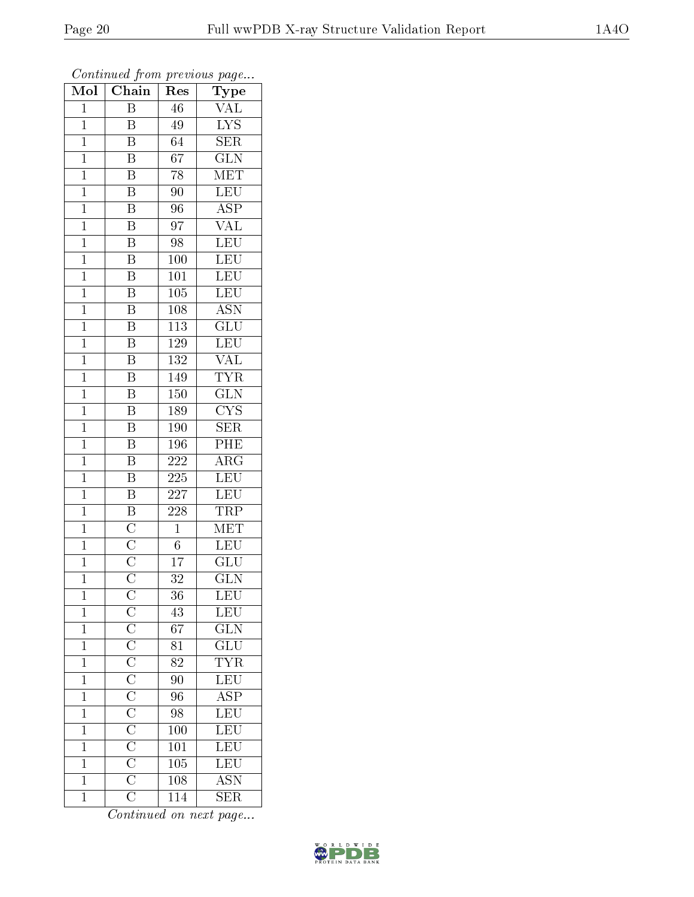| Mol            | $\overline{\text{Chain}}$                                                                             | Res              | Type                                       |
|----------------|-------------------------------------------------------------------------------------------------------|------------------|--------------------------------------------|
| $\mathbf{1}$   | $\, {\bf B}$                                                                                          | 46               | <b>VAL</b>                                 |
| $\overline{1}$ | B                                                                                                     | 49               | $\overline{\text{LYS}}$                    |
| $\mathbf{1}$   | $\overline{\mathrm{B}}$                                                                               | $\overline{64}$  | $\overline{\text{SER}}$                    |
| $\mathbf{1}$   | $\overline{\mathrm{B}}$                                                                               | 67               | $\overline{\text{GLN}}$                    |
| $\overline{1}$ | $\overline{\mathrm{B}}$                                                                               | $\overline{78}$  | $\overline{\text{MET}}$                    |
| $\mathbf{1}$   | $\overline{\mathbf{B}}$                                                                               | 90               | LEU                                        |
| $\overline{1}$ | $\overline{\mathrm{B}}$                                                                               | 96               | $\overline{\text{ASP}}$                    |
| $\overline{1}$ | $\overline{\mathrm{B}}$                                                                               | $\overline{97}$  | $\overline{\text{VAL}}$                    |
| $\mathbf{1}$   | $\overline{\mathbf{B}}$                                                                               | 98               | LEU                                        |
| $\mathbf{1}$   | $\overline{B}$                                                                                        | 100              | LEU                                        |
| $\mathbf{1}$   | $\overline{\mathrm{B}}$                                                                               | $101\,$          | LEU                                        |
| $\overline{1}$ | $\overline{\mathrm{B}}$                                                                               | $\overline{105}$ | $\overline{\text{LEU}}$                    |
| $\overline{1}$ | $\overline{\mathrm{B}}$                                                                               | 108              | $\overline{\text{ASN}}$                    |
| $\mathbf{1}$   | $\overline{\mathrm{B}}$                                                                               | <b>113</b>       | $\overline{\text{GLU}}$                    |
| $\overline{1}$ | $\overline{\mathbf{B}}$                                                                               | <sup>129</sup>   | $\overline{\text{LEU}}$                    |
| $\mathbf{1}$   | B                                                                                                     | $132\,$          | <b>VAL</b>                                 |
| $\overline{1}$ | $\overline{\mathrm{B}}$                                                                               | 149              | <b>TYR</b>                                 |
| $\mathbf{1}$   | $\overline{\mathrm{B}}$                                                                               | 150              | $\overline{\text{GLN}}$                    |
| $\mathbf 1$    | $\overline{\mathrm{B}}$                                                                               | 189              | $\overline{\text{CYS}}$                    |
| $\mathbf{1}$   | $\overline{\mathrm{B}}$                                                                               | 190              | SER                                        |
| $\overline{1}$ | $\overline{\mathrm{B}}$                                                                               | 196              | PHE                                        |
| $\overline{1}$ | $\overline{\mathbf{B}}$                                                                               | 222              | $\overline{\rm{ARG}}$                      |
| $\mathbf{1}$   | $\overline{\mathbf{B}}$                                                                               | $225\,$          | <b>LEU</b>                                 |
| $\overline{1}$ | $\overline{B}$                                                                                        | 227              | LEU                                        |
| $\mathbf{1}$   | $\frac{\overline{\text{B}}}{\overline{\text{C}}}}$ $\frac{\overline{\text{C}}}{\overline{\text{C}}}}$ | 228              | <b>TRP</b>                                 |
| $\overline{1}$ |                                                                                                       | $\mathbf{1}$     | $\overline{\text{MET}}$                    |
| $\overline{1}$ |                                                                                                       | $\overline{6}$   | LEU                                        |
| $\mathbf{1}$   |                                                                                                       | 17               | GLU                                        |
| $\mathbf{1}$   |                                                                                                       | 32               | $\overline{\text{GLN}}$                    |
| $\mathbf 1$    |                                                                                                       | 36               | LEU                                        |
| $\mathbf 1$    |                                                                                                       | 43               | LEU                                        |
| $\mathbf 1$    |                                                                                                       | 67               | $\overline{\text{GLN}}$                    |
| $\mathbf{1}$   |                                                                                                       | 81               | $\frac{\overline{\text{GLU}}}{\text{TYR}}$ |
| $\mathbf{1}$   |                                                                                                       | $\overline{82}$  |                                            |
| $\mathbf{1}$   |                                                                                                       | 90 <sup>7</sup>  | LEU<br>ASP<br>LEU<br>LEU                   |
| $\mathbf 1$    |                                                                                                       | $\overline{96}$  |                                            |
| $\mathbf{1}$   |                                                                                                       | $\overline{98}$  |                                            |
| $\mathbf 1$    |                                                                                                       | $\overline{100}$ |                                            |
| $\mathbf{1}$   |                                                                                                       | 101              | $\overline{\text{LEU}}$                    |
| $\mathbf{1}$   |                                                                                                       | 105              | LEU                                        |
| $\overline{1}$ |                                                                                                       | 108              | $\overline{\mathrm{ASN}}$                  |
| $\mathbf{1}$   |                                                                                                       | 114              | <b>SER</b>                                 |

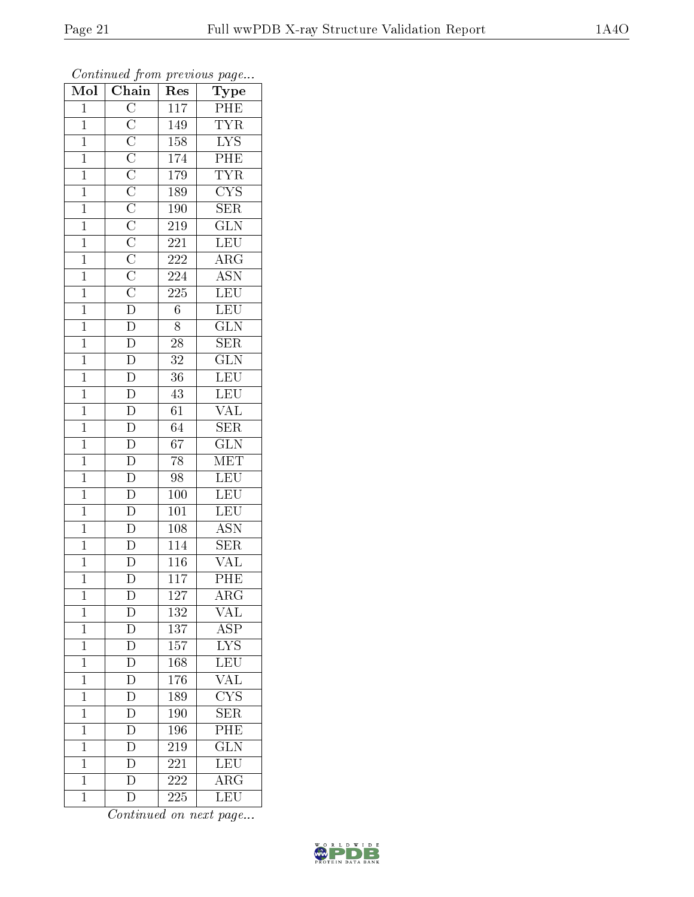| $\overline{\text{Mol}}$ | $\cdot$<br>$\overline{\text{Chain}}$                         | ı.<br>Res        | $\mathbf{r}$<br>$\overline{\phantom{a}}$<br>Type      |
|-------------------------|--------------------------------------------------------------|------------------|-------------------------------------------------------|
| $\mathbf{1}$            |                                                              | 117              | PHE                                                   |
| $\overline{1}$          |                                                              | 149              | <b>TYR</b>                                            |
| $\overline{1}$          |                                                              | 158              |                                                       |
| $\overline{1}$          |                                                              | 174              | $\frac{\overline{\text{LYS}}}{\overline{\text{PHE}}}$ |
| $\overline{1}$          |                                                              | $1\,79$          | <b>TYR</b>                                            |
| $\overline{1}$          |                                                              | 189              | $\overline{\text{CYS}}$                               |
| $\overline{1}$          |                                                              | 190              | $\overline{\text{SER}}$                               |
| $\mathbf{1}$            |                                                              | 219              | $\overline{\text{GLN}}$                               |
| $\mathbf{1}$            |                                                              | 221              | LEU                                                   |
| $\overline{1}$          |                                                              | 222              | $\overline{\rm{ARG}}$                                 |
| $\mathbf{1}$            |                                                              | 224              | $\overline{\text{ASN}}$                               |
| $\overline{1}$          |                                                              | $\overline{225}$ | LEU                                                   |
| $\overline{1}$          |                                                              | $\overline{6}$   | LEU                                                   |
| $\mathbf{1}$            | <u> C  C  C  C  C  C  C  C  C  C  C  C  D  D  D  D  D  D</u> | 8                | $\overline{\text{GLN}}$                               |
| $\overline{1}$          |                                                              | $\overline{28}$  | $\overline{\text{SER}}$                               |
| $\overline{1}$          |                                                              | $3\sqrt{2}$      | $\overline{\text{GLN}}$                               |
| $\overline{1}$          | $\overline{\frac{D}{D}}$<br>$\overline{\frac{D}{D}}$         | $\overline{36}$  | LEU                                                   |
| $\overline{1}$          |                                                              | 43               | LEU<br>VAL                                            |
| $\mathbf{1}$            |                                                              | $\overline{61}$  |                                                       |
| $\overline{1}$          |                                                              | 64               | $\overline{\text{SER}}$                               |
| $\overline{1}$          | $\frac{\overline{D}}{\overline{D}}$                          | $\overline{67}$  | $\overline{\text{GLN}}$                               |
| $\overline{1}$          |                                                              | $\overline{78}$  | MET                                                   |
| $\mathbf{1}$            |                                                              | 98               | LEU                                                   |
| $\overline{1}$          | $\overline{D}$                                               | 100              | LEU                                                   |
| $\mathbf{1}$            | $\overline{\frac{D}{D}}$<br>$\overline{\frac{D}{D}}$         | <b>101</b>       | LEU                                                   |
| $\overline{1}$          |                                                              | 108              | <b>ASN</b>                                            |
| $\mathbf{1}$            |                                                              | 114              | $\overline{\text{SER}}$                               |
| $\mathbf{1}$            |                                                              | <b>116</b>       | $\rm \sqrt{AL}$                                       |
| $\overline{1}$          | $\overline{\text{D}}$                                        | $\overline{117}$ | PHE                                                   |
| $\mathbf 1$             | $\mathbf D$                                                  | 127              | ${\rm ARG}$                                           |
| $\mathbf{1}$            | $\mathbf D$                                                  | 132              | $\overline{\text{VAL}}$                               |
| $\mathbf 1$             | $\overline{D}$                                               | $\overline{137}$ | $\overline{\text{ASP}}$                               |
| $\mathbf{1}$            | $\mathbf{D}$                                                 | 157              | $\overline{\text{LYS}}$                               |
| $\overline{1}$          | $\overline{\rm D}$                                           | 168              | $\overline{\text{LEU}}$                               |
| $\mathbf 1$             | $\overline{D}$                                               | 176              | <b>VAL</b>                                            |
| $\mathbf 1$             | $\frac{\overline{D}}{D}$                                     | 189              | $\overline{\text{CYS}}$                               |
| $\mathbf 1$             |                                                              | 190              | $\overline{\text{SER}}$                               |
| $\mathbf 1$             | $\overline{\mathrm{D}}$                                      | 196              | $\overline{\mathrm{PHE}}$                             |
| $\mathbf 1$             | $\overline{\rm D}$                                           | 219              | $\overline{\text{GLN}}$                               |
| $\overline{1}$          | $\mathbf D$                                                  | 221              | LEU                                                   |
| $\mathbf{1}$            | $\overline{\rm D}$                                           | 222              | $\overline{\rm{ARG}}$                                 |
| $\overline{1}$          | $\overline{\rm D}$                                           | 225              | LEU                                                   |

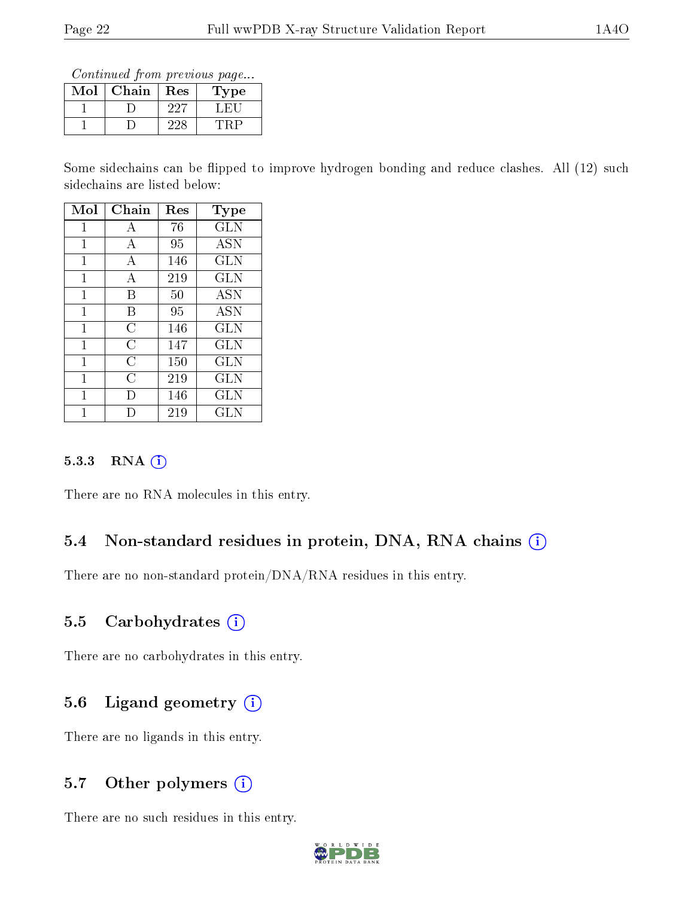Continued from previous page...

| Mol | Chain | Res  | <b>Type</b> |
|-----|-------|------|-------------|
|     |       | ノワワ  |             |
|     |       | צניי |             |

Some sidechains can be flipped to improve hydrogen bonding and reduce clashes. All (12) such sidechains are listed below:

| Mol | Chain          | Res | Type         |
|-----|----------------|-----|--------------|
| 1   | А              | 76  | GLN          |
| 1   | А              | 95  | <b>ASN</b>   |
| 1   | А              | 146 | <b>GLN</b>   |
| 1   | А              | 219 | <b>GLN</b>   |
| 1   | В              | 50  | <b>ASN</b>   |
| 1   | В              | 95  | <b>ASN</b>   |
| 1   | С              | 146 | <b>GLN</b>   |
| 1   | C              | 147 | <b>GLN</b>   |
| 1   | $\overline{C}$ | 150 | <b>GLN</b>   |
| 1   | C              | 219 | <b>GLN</b>   |
| 1   | Ð              | 146 | GLN          |
|     |                | 219 | $_{\rm GLN}$ |

#### 5.3.3 RNA (i)

There are no RNA molecules in this entry.

### 5.4 Non-standard residues in protein, DNA, RNA chains (i)

There are no non-standard protein/DNA/RNA residues in this entry.

#### 5.5 Carbohydrates  $(i)$

There are no carbohydrates in this entry.

### 5.6 Ligand geometry  $(i)$

There are no ligands in this entry.

### 5.7 [O](https://www.wwpdb.org/validation/2017/XrayValidationReportHelp#nonstandard_residues_and_ligands)ther polymers  $(i)$

There are no such residues in this entry.

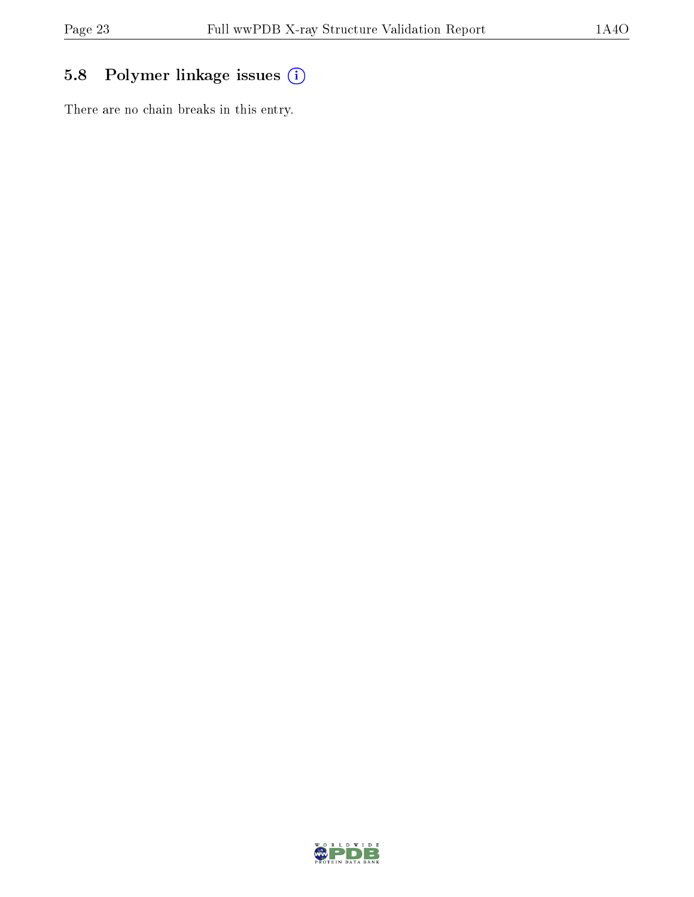## 5.8 Polymer linkage issues (i)

There are no chain breaks in this entry.